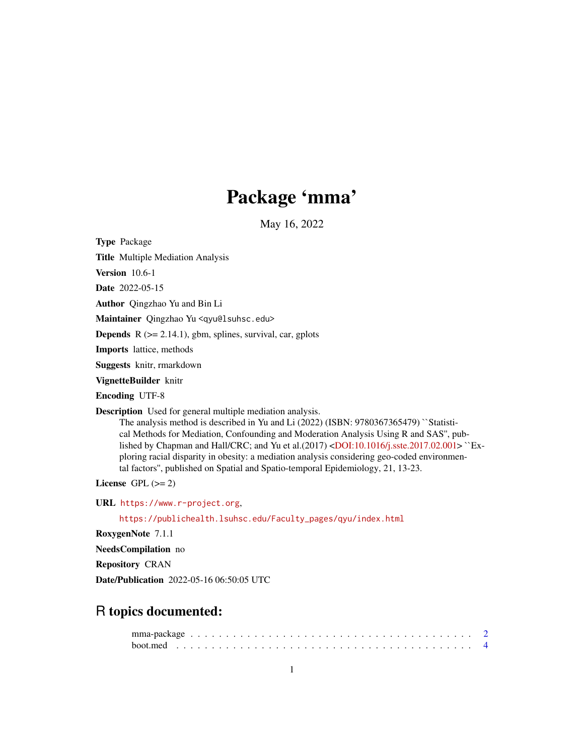# Package 'mma'

May 16, 2022

Type Package

Title Multiple Mediation Analysis

Version 10.6-1

Date 2022-05-15

Author Qingzhao Yu and Bin Li

Maintainer Qingzhao Yu <qyu@lsuhsc.edu>

**Depends**  $R$  ( $>= 2.14.1$ ), gbm, splines, survival, car, gplots

Imports lattice, methods

Suggests knitr, rmarkdown

VignetteBuilder knitr

Encoding UTF-8

Description Used for general multiple mediation analysis.

The analysis method is described in Yu and Li (2022) (ISBN: 9780367365479) ``Statistical Methods for Mediation, Confounding and Moderation Analysis Using R and SAS'', pub-lished by Chapman and Hall/CRC; and Yu et al.(2017) [<DOI:10.1016/j.sste.2017.02.001>](https://doi.org/10.1016/j.sste.2017.02.001) ``Exploring racial disparity in obesity: a mediation analysis considering geo-coded environmental factors'', published on Spatial and Spatio-temporal Epidemiology, 21, 13-23.

License GPL  $(>= 2)$ 

URL <https://www.r-project.org>,

[https://publichealth.lsuhsc.edu/Faculty\\_pages/qyu/index.html](https://publichealth.lsuhsc.edu/Faculty_pages/qyu/index.html)

RoxygenNote 7.1.1

NeedsCompilation no

Repository CRAN

Date/Publication 2022-05-16 06:50:05 UTC

# R topics documented: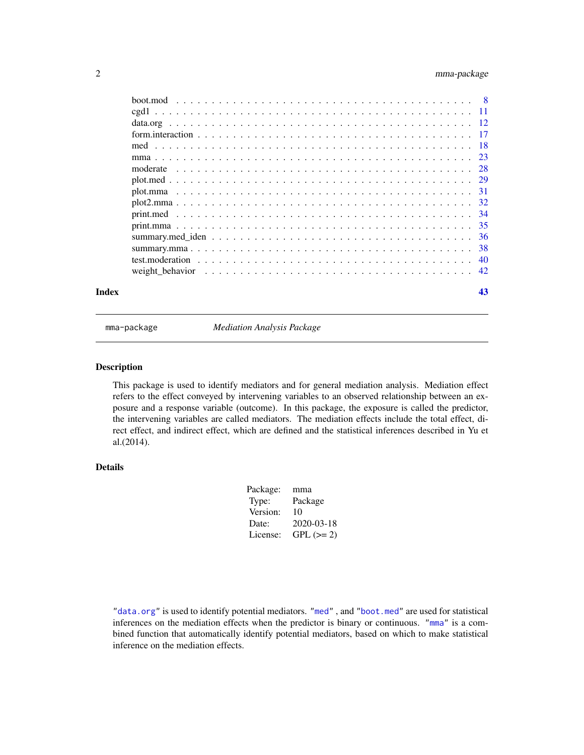# <span id="page-1-0"></span>2 mma-package

|       | moderate |    |
|-------|----------|----|
|       |          |    |
|       |          |    |
|       |          |    |
|       |          |    |
|       |          |    |
|       |          |    |
|       |          |    |
|       |          |    |
|       |          |    |
| Index |          | 43 |

mma-package *Mediation Analysis Package*

# Description

This package is used to identify mediators and for general mediation analysis. Mediation effect refers to the effect conveyed by intervening variables to an observed relationship between an exposure and a response variable (outcome). In this package, the exposure is called the predictor, the intervening variables are called mediators. The mediation effects include the total effect, direct effect, and indirect effect, which are defined and the statistical inferences described in Yu et al.(2014).

# Details

| Package: | mma        |
|----------|------------|
| Type:    | Package    |
| Version: | 10         |
| Date:    | 2020-03-18 |
| License: | $GPL (=2)$ |

["data.org"](#page-11-1) is used to identify potential mediators. ["med"](#page-17-1) , and ["boot.med"](#page-3-1) are used for statistical inferences on the mediation effects when the predictor is binary or continuous. ["mma"](#page-22-1) is a combined function that automatically identify potential mediators, based on which to make statistical inference on the mediation effects.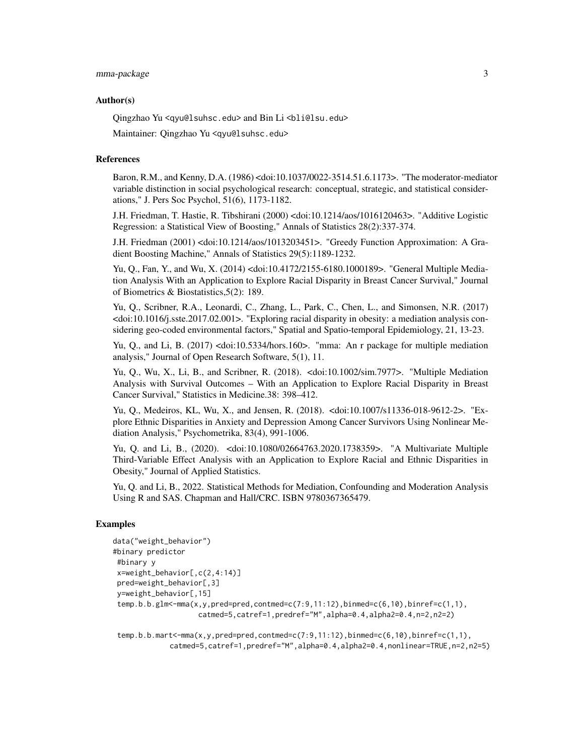#### mma-package 3

#### Author(s)

Qingzhao Yu <qyu@lsuhsc.edu> and Bin Li <bli@lsu.edu>

Maintainer: Qingzhao Yu <qyu@lsuhsc.edu>

#### References

Baron, R.M., and Kenny, D.A. (1986) <doi:10.1037/0022-3514.51.6.1173>. "The moderator-mediator variable distinction in social psychological research: conceptual, strategic, and statistical considerations," J. Pers Soc Psychol, 51(6), 1173-1182.

J.H. Friedman, T. Hastie, R. Tibshirani (2000) <doi:10.1214/aos/1016120463>. "Additive Logistic Regression: a Statistical View of Boosting," Annals of Statistics 28(2):337-374.

J.H. Friedman (2001) <doi:10.1214/aos/1013203451>. "Greedy Function Approximation: A Gradient Boosting Machine," Annals of Statistics 29(5):1189-1232.

Yu, Q., Fan, Y., and Wu, X. (2014) <doi:10.4172/2155-6180.1000189>. "General Multiple Mediation Analysis With an Application to Explore Racial Disparity in Breast Cancer Survival," Journal of Biometrics & Biostatistics,5(2): 189.

Yu, Q., Scribner, R.A., Leonardi, C., Zhang, L., Park, C., Chen, L., and Simonsen, N.R. (2017) <doi:10.1016/j.sste.2017.02.001>. "Exploring racial disparity in obesity: a mediation analysis considering geo-coded environmental factors," Spatial and Spatio-temporal Epidemiology, 21, 13-23.

Yu, Q., and Li, B. (2017) <doi:10.5334/hors.160>. "mma: An r package for multiple mediation analysis," Journal of Open Research Software, 5(1), 11.

Yu, Q., Wu, X., Li, B., and Scribner, R. (2018). <doi:10.1002/sim.7977>. "Multiple Mediation Analysis with Survival Outcomes – With an Application to Explore Racial Disparity in Breast Cancer Survival," Statistics in Medicine.38: 398–412.

Yu, Q., Medeiros, KL, Wu, X., and Jensen, R. (2018). <doi:10.1007/s11336-018-9612-2>. "Explore Ethnic Disparities in Anxiety and Depression Among Cancer Survivors Using Nonlinear Mediation Analysis," Psychometrika, 83(4), 991-1006.

Yu, Q. and Li, B., (2020). <doi:10.1080/02664763.2020.1738359>. "A Multivariate Multiple Third-Variable Effect Analysis with an Application to Explore Racial and Ethnic Disparities in Obesity," Journal of Applied Statistics.

Yu, Q. and Li, B., 2022. Statistical Methods for Mediation, Confounding and Moderation Analysis Using R and SAS. Chapman and Hall/CRC. ISBN 9780367365479.

# Examples

```
data("weight_behavior")
#binary predictor
#binary y
x=weight_behavior[,c(2,4:14)]
pred=weight_behavior[,3]
y=weight_behavior[,15]
temp.b.b.glm<-mma(x,y,pred=pred,contmed=c(7:9,11:12),binmed=c(6,10),binref=c(1,1),
                    catmed=5,catref=1,predref="M",alpha=0.4,alpha2=0.4,n=2,n2=2)
```
temp.b.b.mart<-mma(x,y,pred=pred,contmed=c(7:9,11:12),binmed=c(6,10),binref=c(1,1), catmed=5,catref=1,predref="M",alpha=0.4,alpha2=0.4,nonlinear=TRUE,n=2,n2=5)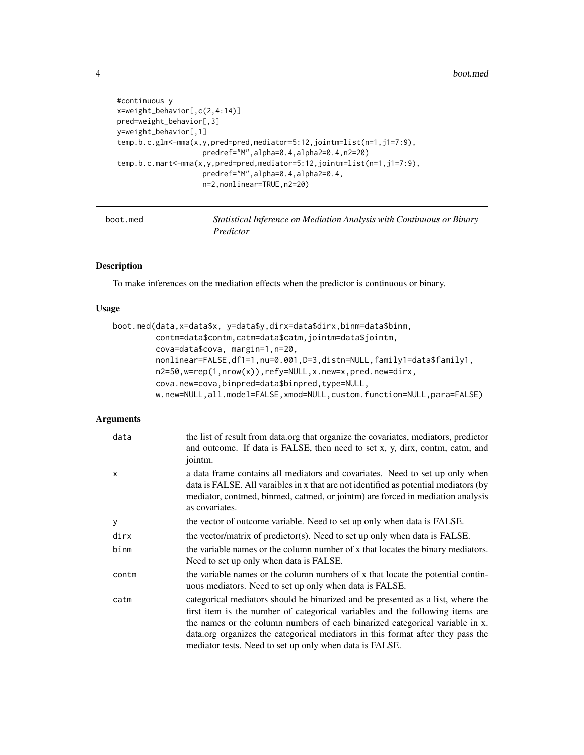```
#continuous y
x=weight_behavior[,c(2,4:14)]
pred=weight_behavior[,3]
y=weight_behavior[,1]
temp.b.c.glm<-mma(x,y,pred=pred,mediator=5:12,jointm=list(n=1,j1=7:9),
                    predref="M",alpha=0.4,alpha2=0.4,n2=20)
temp.b.c.mart<-mma(x,y,pred=pred,mediator=5:12,jointm=list(n=1,j1=7:9),
                    predref="M",alpha=0.4,alpha2=0.4,
                    n=2,nonlinear=TRUE,n2=20)
```
<span id="page-3-1"></span>

| boot.med | Statistical Inference on Mediation Analysis with Continuous or Binary |
|----------|-----------------------------------------------------------------------|
|          | Predictor                                                             |

# Description

To make inferences on the mediation effects when the predictor is continuous or binary.

# Usage

```
boot.med(data,x=data$x, y=data$y,dirx=data$dirx,binm=data$binm,
         contm=data$contm,catm=data$catm,jointm=data$jointm,
         cova=data$cova, margin=1,n=20,
         nonlinear=FALSE,df1=1,nu=0.001,D=3,distn=NULL,family1=data$family1,
         n2=50,w=rep(1,nrow(x)),refy=NULL,x.new=x,pred.new=dirx,
        cova.new=cova,binpred=data$binpred,type=NULL,
        w.new=NULL,all.model=FALSE,xmod=NULL,custom.function=NULL,para=FALSE)
```
# Arguments

| data         | the list of result from data.org that organize the covariates, mediators, predictor<br>and outcome. If data is FALSE, then need to set x, y, dirx, contm, catm, and<br>jointm.                                                                                                                                                                                                                 |
|--------------|------------------------------------------------------------------------------------------------------------------------------------------------------------------------------------------------------------------------------------------------------------------------------------------------------------------------------------------------------------------------------------------------|
| $\mathsf{x}$ | a data frame contains all mediators and covariates. Need to set up only when<br>data is FALSE. All varaibles in x that are not identified as potential mediators (by<br>mediator, contmed, binmed, catmed, or jointm) are forced in mediation analysis<br>as covariates.                                                                                                                       |
| y            | the vector of outcome variable. Need to set up only when data is FALSE.                                                                                                                                                                                                                                                                                                                        |
| dirx         | the vector/matrix of predictor(s). Need to set up only when data is FALSE.                                                                                                                                                                                                                                                                                                                     |
| binm         | the variable names or the column number of x that locates the binary mediators.<br>Need to set up only when data is FALSE.                                                                                                                                                                                                                                                                     |
| contm        | the variable names or the column numbers of x that locate the potential contin-<br>uous mediators. Need to set up only when data is FALSE.                                                                                                                                                                                                                                                     |
| catm         | categorical mediators should be binarized and be presented as a list, where the<br>first item is the number of categorical variables and the following items are<br>the names or the column numbers of each binarized categorical variable in x.<br>data.org organizes the categorical mediators in this format after they pass the<br>mediator tests. Need to set up only when data is FALSE. |

<span id="page-3-0"></span>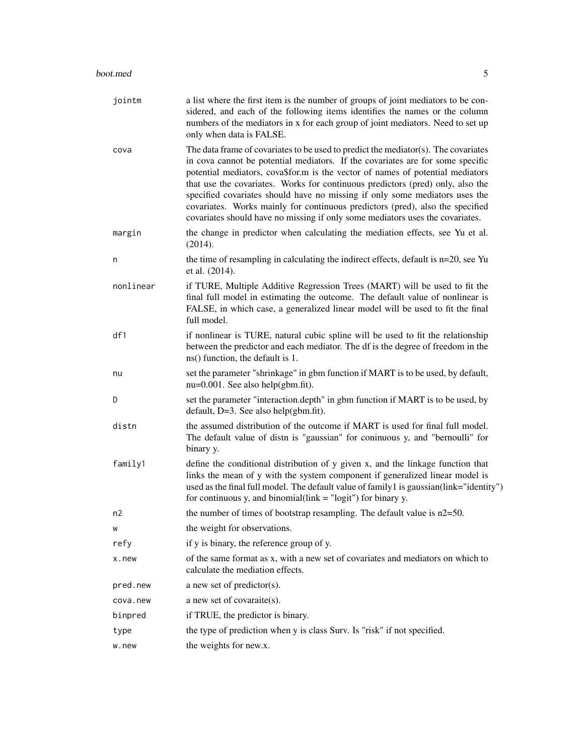| jointm    | a list where the first item is the number of groups of joint mediators to be con-<br>sidered, and each of the following items identifies the names or the column<br>numbers of the mediators in x for each group of joint mediators. Need to set up<br>only when data is FALSE.                                                                                                                                                                                                                                                                                                           |
|-----------|-------------------------------------------------------------------------------------------------------------------------------------------------------------------------------------------------------------------------------------------------------------------------------------------------------------------------------------------------------------------------------------------------------------------------------------------------------------------------------------------------------------------------------------------------------------------------------------------|
| cova      | The data frame of covariates to be used to predict the mediator(s). The covariates<br>in cova cannot be potential mediators. If the covariates are for some specific<br>potential mediators, cova\$for.m is the vector of names of potential mediators<br>that use the covariates. Works for continuous predictors (pred) only, also the<br>specified covariates should have no missing if only some mediators uses the<br>covariates. Works mainly for continuous predictors (pred), also the specified<br>covariates should have no missing if only some mediators uses the covariates. |
| margin    | the change in predictor when calculating the mediation effects, see Yu et al.<br>(2014).                                                                                                                                                                                                                                                                                                                                                                                                                                                                                                  |
| n         | the time of resampling in calculating the indirect effects, default is $n=20$ , see Yu<br>et al. (2014).                                                                                                                                                                                                                                                                                                                                                                                                                                                                                  |
| nonlinear | if TURE, Multiple Additive Regression Trees (MART) will be used to fit the<br>final full model in estimating the outcome. The default value of nonlinear is<br>FALSE, in which case, a generalized linear model will be used to fit the final<br>full model.                                                                                                                                                                                                                                                                                                                              |
| df1       | if nonlinear is TURE, natural cubic spline will be used to fit the relationship<br>between the predictor and each mediator. The df is the degree of freedom in the<br>ns() function, the default is 1.                                                                                                                                                                                                                                                                                                                                                                                    |
| nu        | set the parameter "shrinkage" in gbm function if MART is to be used, by default,<br>$nu=0.001$ . See also help(gbm.fit).                                                                                                                                                                                                                                                                                                                                                                                                                                                                  |
| D         | set the parameter "interaction.depth" in gbm function if MART is to be used, by<br>default, $D=3$ . See also help(gbm.fit).                                                                                                                                                                                                                                                                                                                                                                                                                                                               |
| distn     | the assumed distribution of the outcome if MART is used for final full model.<br>The default value of distn is "gaussian" for coninuous y, and "bernoulli" for<br>binary y.                                                                                                                                                                                                                                                                                                                                                                                                               |
| family1   | define the conditional distribution of y given x, and the linkage function that<br>links the mean of y with the system component if generalized linear model is<br>used as the final full model. The default value of family 1 is gaussian(link="identity")<br>for continuous y, and binomial(link $=$ "logit") for binary y.                                                                                                                                                                                                                                                             |
| n2        | the number of times of bootstrap resampling. The default value is $n2=50$ .                                                                                                                                                                                                                                                                                                                                                                                                                                                                                                               |
| W         | the weight for observations.                                                                                                                                                                                                                                                                                                                                                                                                                                                                                                                                                              |
| refy      | if y is binary, the reference group of y.                                                                                                                                                                                                                                                                                                                                                                                                                                                                                                                                                 |
| x.new     | of the same format as x, with a new set of covariates and mediators on which to<br>calculate the mediation effects.                                                                                                                                                                                                                                                                                                                                                                                                                                                                       |
| pred.new  | a new set of predictor(s).                                                                                                                                                                                                                                                                                                                                                                                                                                                                                                                                                                |
| cova.new  | a new set of covaraite(s).                                                                                                                                                                                                                                                                                                                                                                                                                                                                                                                                                                |
| binpred   | if TRUE, the predictor is binary.                                                                                                                                                                                                                                                                                                                                                                                                                                                                                                                                                         |
| type      | the type of prediction when y is class Surv. Is "risk" if not specified.                                                                                                                                                                                                                                                                                                                                                                                                                                                                                                                  |
| w.new     | the weights for new.x.                                                                                                                                                                                                                                                                                                                                                                                                                                                                                                                                                                    |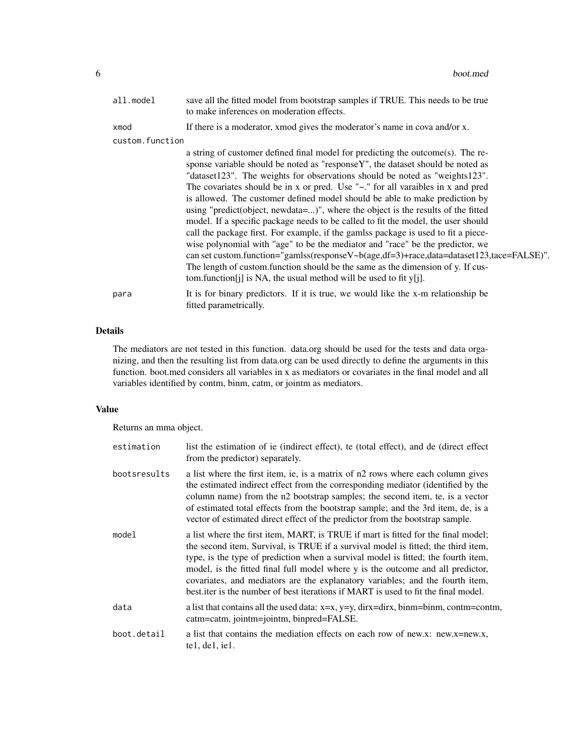| all.model       | save all the fitted model from bootstrap samples if TRUE. This needs to be true<br>to make inferences on moderation effects.                                                                                                                                                                                                                                                                                                                                                                                                                                                                                                                                                                                                                                                                                                                                                                                                                                                                                                      |
|-----------------|-----------------------------------------------------------------------------------------------------------------------------------------------------------------------------------------------------------------------------------------------------------------------------------------------------------------------------------------------------------------------------------------------------------------------------------------------------------------------------------------------------------------------------------------------------------------------------------------------------------------------------------------------------------------------------------------------------------------------------------------------------------------------------------------------------------------------------------------------------------------------------------------------------------------------------------------------------------------------------------------------------------------------------------|
| xmod            | If there is a moderator, xmod gives the moderator's name in cova and/or x.                                                                                                                                                                                                                                                                                                                                                                                                                                                                                                                                                                                                                                                                                                                                                                                                                                                                                                                                                        |
| custom.function |                                                                                                                                                                                                                                                                                                                                                                                                                                                                                                                                                                                                                                                                                                                                                                                                                                                                                                                                                                                                                                   |
|                 | a string of customer defined final model for predicting the outcome(s). The re-<br>sponse variable should be noted as "responseY", the dataset should be noted as<br>"dataset123". The weights for observations should be noted as "weights123".<br>The covariates should be in x or pred. Use " $\sim$ ." for all varaibles in x and pred<br>is allowed. The customer defined model should be able to make prediction by<br>using "predict(object, newdata=)", where the object is the results of the fitted<br>model. If a specific package needs to be called to fit the model, the user should<br>call the package first. For example, if the gamlss package is used to fit a piece-<br>wise polynomial with "age" to be the mediator and "race" be the predictor, we<br>can set custom.function="gamlss(responseV~b(age,df=3)+race,data=dataset123,tace=FALSE)".<br>The length of custom function should be the same as the dimension of y. If cus-<br>tom.function [j] is NA, the usual method will be used to fit $y[i]$ . |
| para            | It is for binary predictors. If it is true, we would like the x-m relationship be<br>fitted parametrically.                                                                                                                                                                                                                                                                                                                                                                                                                                                                                                                                                                                                                                                                                                                                                                                                                                                                                                                       |

# Details

The mediators are not tested in this function. data.org should be used for the tests and data organizing, and then the resulting list from data.org can be used directly to define the arguments in this function. boot.med considers all variables in x as mediators or covariates in the final model and all variables identified by contm, binm, catm, or jointm as mediators.

# Value

Returns an mma object.

| estimation   | list the estimation of ie (indirect effect), te (total effect), and de (direct effect)<br>from the predictor) separately.                                                                                                                                                                                                                                                                                                                                                                                             |
|--------------|-----------------------------------------------------------------------------------------------------------------------------------------------------------------------------------------------------------------------------------------------------------------------------------------------------------------------------------------------------------------------------------------------------------------------------------------------------------------------------------------------------------------------|
| bootsresults | a list where the first item, ie, is a matrix of n2 rows where each column gives<br>the estimated indirect effect from the corresponding mediator (identified by the<br>column name) from the n2 bootstrap samples; the second item, te, is a vector<br>of estimated total effects from the bootstrap sample; and the 3rd item, de, is a<br>vector of estimated direct effect of the predictor from the bootstrap sample.                                                                                              |
| model        | a list where the first item, MART, is TRUE if mart is fitted for the final model;<br>the second item, Survival, is TRUE if a survival model is fitted; the third item,<br>type, is the type of prediction when a survival model is fitted; the fourth item,<br>model, is the fitted final full model where y is the outcome and all predictor,<br>covariates, and mediators are the explanatory variables; and the fourth item,<br>best iter is the number of best iterations if MART is used to fit the final model. |
| data         | a list that contains all the used data: x=x, y=y, dirx=dirx, binm=binm, contm=contm,<br>catm=catm, jointm=jointm, binpred=FALSE.                                                                                                                                                                                                                                                                                                                                                                                      |
| boot.detail  | a list that contains the mediation effects on each row of new.x: new.x=new.x,<br>te1, de1, ie1.                                                                                                                                                                                                                                                                                                                                                                                                                       |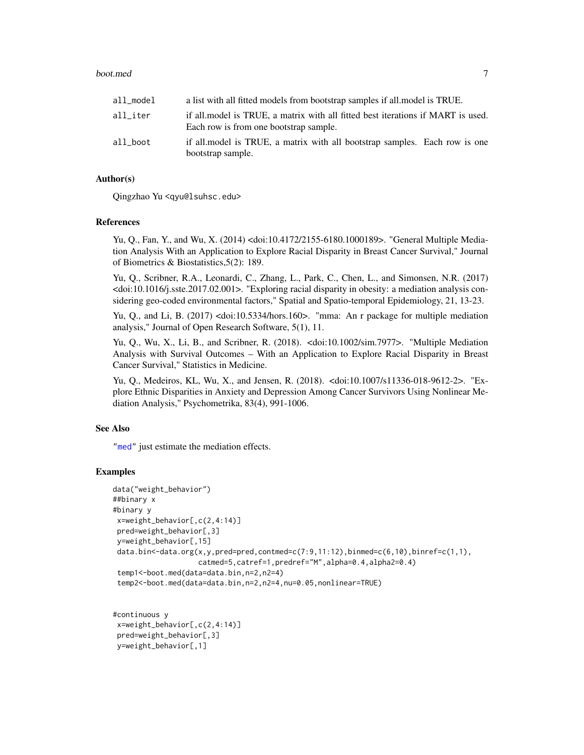### <span id="page-6-0"></span>boot.med 7

| all_model | a list with all fitted models from bootstrap samples if all model is TRUE.                                                |
|-----------|---------------------------------------------------------------------------------------------------------------------------|
| all iter  | if all model is TRUE, a matrix with all fitted best iterations if MART is used.<br>Each row is from one bootstrap sample. |
| all boot  | if all model is TRUE, a matrix with all bootstrap samples. Each row is one<br>bootstrap sample.                           |

# Author(s)

Qingzhao Yu <qyu@lsuhsc.edu>

#### References

Yu, Q., Fan, Y., and Wu, X. (2014) <doi:10.4172/2155-6180.1000189>. "General Multiple Mediation Analysis With an Application to Explore Racial Disparity in Breast Cancer Survival," Journal of Biometrics & Biostatistics,5(2): 189.

Yu, Q., Scribner, R.A., Leonardi, C., Zhang, L., Park, C., Chen, L., and Simonsen, N.R. (2017) <doi:10.1016/j.sste.2017.02.001>. "Exploring racial disparity in obesity: a mediation analysis considering geo-coded environmental factors," Spatial and Spatio-temporal Epidemiology, 21, 13-23.

Yu, Q., and Li, B. (2017) <doi:10.5334/hors.160>. "mma: An r package for multiple mediation analysis," Journal of Open Research Software, 5(1), 11.

Yu, Q., Wu, X., Li, B., and Scribner, R. (2018). <doi:10.1002/sim.7977>. "Multiple Mediation Analysis with Survival Outcomes – With an Application to Explore Racial Disparity in Breast Cancer Survival," Statistics in Medicine.

Yu, Q., Medeiros, KL, Wu, X., and Jensen, R. (2018). <doi:10.1007/s11336-018-9612-2>. "Explore Ethnic Disparities in Anxiety and Depression Among Cancer Survivors Using Nonlinear Mediation Analysis," Psychometrika, 83(4), 991-1006.

# See Also

["med"](#page-17-1) just estimate the mediation effects.

# Examples

```
data("weight_behavior")
##binary x
#binary y
x=weight_behavior[,c(2,4:14)]
 pred=weight_behavior[,3]
y=weight_behavior[,15]
 data.bin<-data.org(x,y,pred=pred,contmed=c(7:9,11:12),binmed=c(6,10),binref=c(1,1),
                    catmed=5,catref=1,predref="M",alpha=0.4,alpha2=0.4)
 temp1<-boot.med(data=data.bin,n=2,n2=4)
 temp2<-boot.med(data=data.bin,n=2,n2=4,nu=0.05,nonlinear=TRUE)
```
#continuous y x=weight\_behavior[,c(2,4:14)] pred=weight\_behavior[,3] y=weight\_behavior[,1]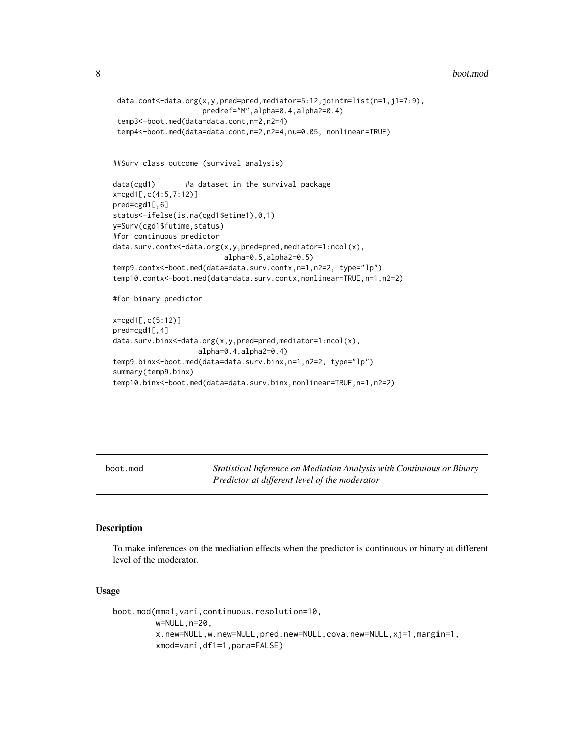<span id="page-7-0"></span>8 boot.mod

```
data.cont<-data.org(x,y,pred=pred,mediator=5:12,jointm=list(n=1,j1=7:9),
                    predref="M",alpha=0.4,alpha2=0.4)
 temp3<-boot.med(data=data.cont,n=2,n2=4)
 temp4<-boot.med(data=data.cont,n=2,n2=4,nu=0.05, nonlinear=TRUE)
##Surv class outcome (survival analysis)
data(cgd1) #a dataset in the survival package
x=cgd1[,c(4:5,7:12)]
pred=cgd1[,6]
status<-ifelse(is.na(cgd1$etime1),0,1)
y=Surv(cgd1$futime,status)
#for continuous predictor
data.surv.contx<-data.org(x,y,pred=pred,mediator=1:ncol(x),
                          alpha=0.5,alpha2=0.5)
temp9.contx<-boot.med(data=data.surv.contx,n=1,n2=2, type="lp")
temp10.contx<-boot.med(data=data.surv.contx,nonlinear=TRUE,n=1,n2=2)
#for binary predictor
x=cgd1[,c(5:12)]
pred=cgd1[,4]
data.surv.binx<-data.org(x,y,pred=pred,mediator=1:ncol(x),
                    alpha=0.4,alpha2=0.4)
temp9.binx<-boot.med(data=data.surv.binx,n=1,n2=2, type="lp")
summary(temp9.binx)
temp10.binx<-boot.med(data=data.surv.binx,nonlinear=TRUE,n=1,n2=2)
```
<span id="page-7-1"></span>boot.mod *Statistical Inference on Mediation Analysis with Continuous or Binary Predictor at different level of the moderator*

#### Description

To make inferences on the mediation effects when the predictor is continuous or binary at different level of the moderator.

# Usage

```
boot.mod(mma1,vari,continuous.resolution=10,
        w=NULL,n=20,
         x.new=NULL,w.new=NULL,pred.new=NULL,cova.new=NULL,xj=1,margin=1,
         xmod=vari,df1=1,para=FALSE)
```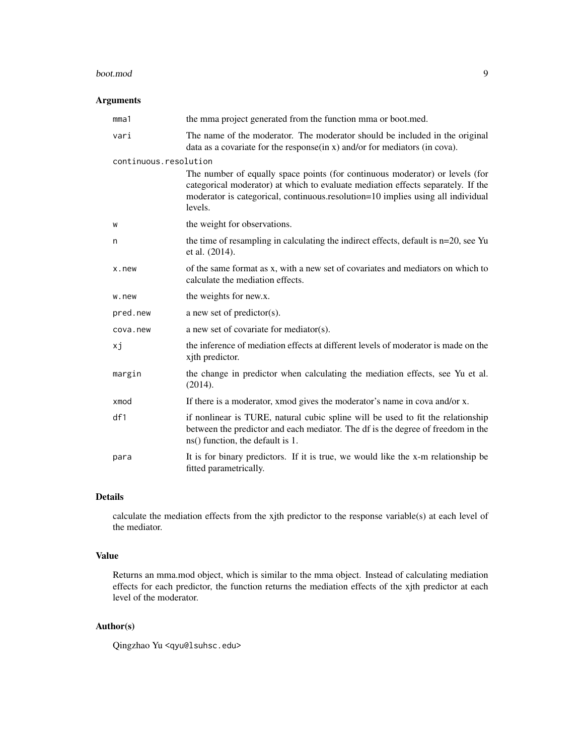#### boot.mod 9

# Arguments

| mma1                  | the mma project generated from the function mma or boot.med.                                                                                                                                                                                                   |
|-----------------------|----------------------------------------------------------------------------------------------------------------------------------------------------------------------------------------------------------------------------------------------------------------|
| vari                  | The name of the moderator. The moderator should be included in the original<br>data as a covariate for the response(in x) and/or for mediators (in cova).                                                                                                      |
| continuous.resolution |                                                                                                                                                                                                                                                                |
|                       | The number of equally space points (for continuous moderator) or levels (for<br>categorical moderator) at which to evaluate mediation effects separately. If the<br>moderator is categorical, continuous.resolution=10 implies using all individual<br>levels. |
| W                     | the weight for observations.                                                                                                                                                                                                                                   |
| n                     | the time of resampling in calculating the indirect effects, default is $n=20$ , see Yu<br>et al. (2014).                                                                                                                                                       |
| x.new                 | of the same format as x, with a new set of covariates and mediators on which to<br>calculate the mediation effects.                                                                                                                                            |
| w.new                 | the weights for new.x.                                                                                                                                                                                                                                         |
| pred.new              | a new set of predictor(s).                                                                                                                                                                                                                                     |
| cova.new              | a new set of covariate for mediator(s).                                                                                                                                                                                                                        |
| хj                    | the inference of mediation effects at different levels of moderator is made on the<br>xith predictor.                                                                                                                                                          |
| margin                | the change in predictor when calculating the mediation effects, see Yu et al.<br>(2014).                                                                                                                                                                       |
| xmod                  | If there is a moderator, xmod gives the moderator's name in cova and/or x.                                                                                                                                                                                     |
| df1                   | if nonlinear is TURE, natural cubic spline will be used to fit the relationship<br>between the predictor and each mediator. The df is the degree of freedom in the<br>ns() function, the default is 1.                                                         |
| para                  | It is for binary predictors. If it is true, we would like the x-m relationship be<br>fitted parametrically.                                                                                                                                                    |

# Details

calculate the mediation effects from the xjth predictor to the response variable(s) at each level of the mediator.

# Value

Returns an mma.mod object, which is similar to the mma object. Instead of calculating mediation effects for each predictor, the function returns the mediation effects of the xjth predictor at each level of the moderator.

# Author(s)

Qingzhao Yu <qyu@lsuhsc.edu>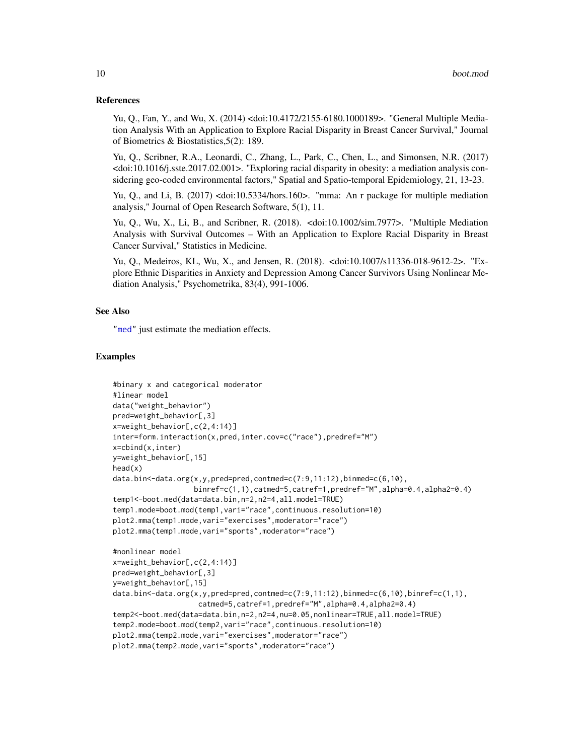## <span id="page-9-0"></span>References

Yu, Q., Fan, Y., and Wu, X. (2014) <doi:10.4172/2155-6180.1000189>. "General Multiple Mediation Analysis With an Application to Explore Racial Disparity in Breast Cancer Survival," Journal of Biometrics & Biostatistics,5(2): 189.

Yu, Q., Scribner, R.A., Leonardi, C., Zhang, L., Park, C., Chen, L., and Simonsen, N.R. (2017) <doi:10.1016/j.sste.2017.02.001>. "Exploring racial disparity in obesity: a mediation analysis considering geo-coded environmental factors," Spatial and Spatio-temporal Epidemiology, 21, 13-23.

Yu, Q., and Li, B. (2017) <doi:10.5334/hors.160>. "mma: An r package for multiple mediation analysis," Journal of Open Research Software, 5(1), 11.

Yu, Q., Wu, X., Li, B., and Scribner, R. (2018). <doi:10.1002/sim.7977>. "Multiple Mediation Analysis with Survival Outcomes – With an Application to Explore Racial Disparity in Breast Cancer Survival," Statistics in Medicine.

Yu, Q., Medeiros, KL, Wu, X., and Jensen, R. (2018). <doi:10.1007/s11336-018-9612-2>. "Explore Ethnic Disparities in Anxiety and Depression Among Cancer Survivors Using Nonlinear Mediation Analysis," Psychometrika, 83(4), 991-1006.

# See Also

["med"](#page-17-1) just estimate the mediation effects.

# Examples

```
#binary x and categorical moderator
#linear model
data("weight_behavior")
pred=weight_behavior[,3]
x=weight_behavior[,c(2,4:14)]
inter=form.interaction(x,pred,inter.cov=c("race"),predref="M")
x=cbind(x,inter)
y=weight_behavior[,15]
head(x)
data.bin<-data.org(x,y,pred=pred,contmed=c(7:9,11:12),binmed=c(6,10),
                   binref=c(1,1),catmed=5,catref=1,predref="M",alpha=0.4,alpha2=0.4)
temp1<-boot.med(data=data.bin,n=2,n2=4,all.model=TRUE)
temp1.mode=boot.mod(temp1,vari="race",continuous.resolution=10)
plot2.mma(temp1.mode,vari="exercises",moderator="race")
plot2.mma(temp1.mode,vari="sports",moderator="race")
#nonlinear model
x=weight_behavior[,c(2,4:14)]
pred=weight_behavior[,3]
y=weight_behavior[,15]
data.bin<-data.org(x,y,pred=pred,contmed=c(7:9,11:12),binmed=c(6,10),binref=c(1,1),
                    catmed=5,catref=1,predref="M",alpha=0.4,alpha2=0.4)
temp2<-boot.med(data=data.bin,n=2,n2=4,nu=0.05,nonlinear=TRUE,all.model=TRUE)
temp2.mode=boot.mod(temp2,vari="race",continuous.resolution=10)
plot2.mma(temp2.mode,vari="exercises",moderator="race")
plot2.mma(temp2.mode,vari="sports",moderator="race")
```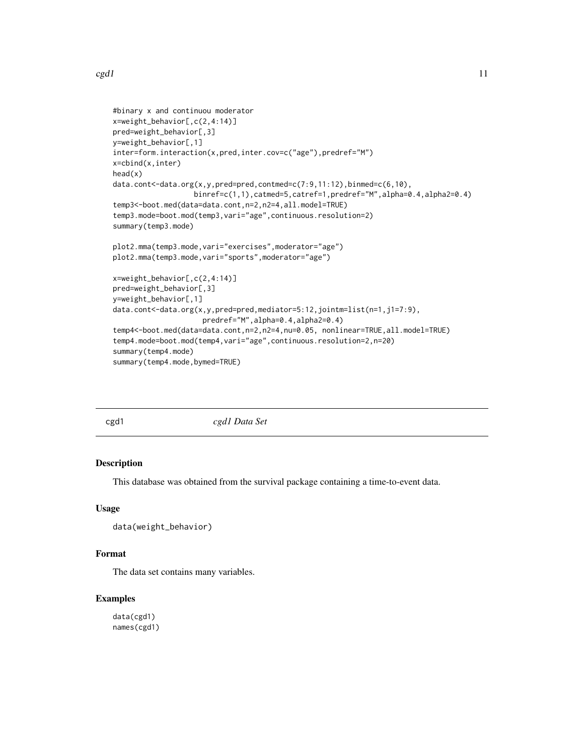```
#binary x and continuou moderator
x=weight_behavior[,c(2,4:14)]
pred=weight_behavior[,3]
y=weight_behavior[,1]
inter=form.interaction(x,pred,inter.cov=c("age"),predref="M")
x=cbind(x,inter)
head(x)
data.cont<-data.org(x,y,pred=pred,contmed=c(7:9,11:12),binmed=c(6,10),
                   binref=c(1,1),catmed=5,catref=1,predref="M",alpha=0.4,alpha2=0.4)
temp3<-boot.med(data=data.cont,n=2,n2=4,all.model=TRUE)
temp3.mode=boot.mod(temp3,vari="age",continuous.resolution=2)
summary(temp3.mode)
plot2.mma(temp3.mode,vari="exercises",moderator="age")
plot2.mma(temp3.mode,vari="sports",moderator="age")
x=weight_behavior[,c(2,4:14)]
pred=weight_behavior[,3]
y=weight_behavior[,1]
data.cont<-data.org(x,y,pred=pred,mediator=5:12,jointm=list(n=1,j1=7:9),
                     predref="M",alpha=0.4,alpha2=0.4)
temp4<-boot.med(data=data.cont,n=2,n2=4,nu=0.05, nonlinear=TRUE,all.model=TRUE)
temp4.mode=boot.mod(temp4,vari="age",continuous.resolution=2,n=20)
summary(temp4.mode)
summary(temp4.mode,bymed=TRUE)
```
cgd1 *cgd1 Data Set*

# Description

This database was obtained from the survival package containing a time-to-event data.

# Usage

```
data(weight_behavior)
```
### Format

The data set contains many variables.

#### Examples

data(cgd1) names(cgd1)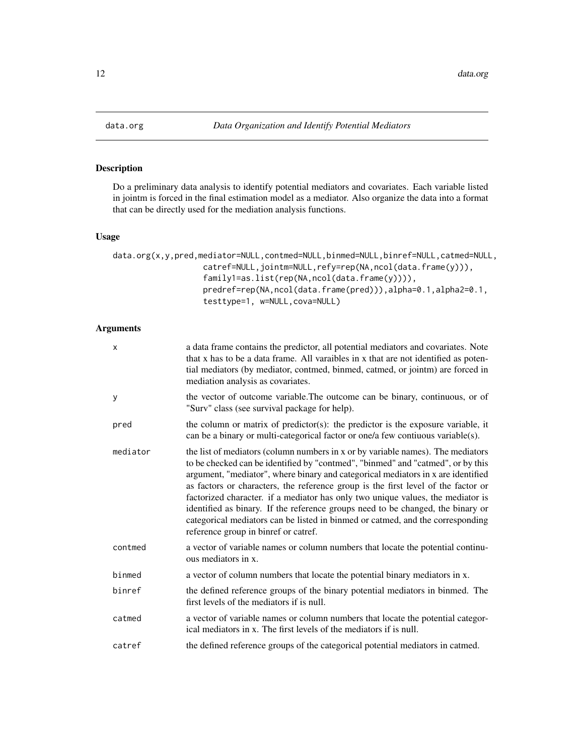<span id="page-11-1"></span><span id="page-11-0"></span>

# Description

Do a preliminary data analysis to identify potential mediators and covariates. Each variable listed in jointm is forced in the final estimation model as a mediator. Also organize the data into a format that can be directly used for the mediation analysis functions.

# Usage

```
data.org(x,y,pred,mediator=NULL,contmed=NULL,binmed=NULL,binref=NULL,catmed=NULL,
                   catref=NULL,jointm=NULL,refy=rep(NA,ncol(data.frame(y))),
                   family1=as.list(rep(NA,ncol(data.frame(y)))),
                   predref=rep(NA,ncol(data.frame(pred))),alpha=0.1,alpha2=0.1,
                   testtype=1, w=NULL,cova=NULL)
```
# Arguments

| X        | a data frame contains the predictor, all potential mediators and covariates. Note<br>that x has to be a data frame. All varaibles in x that are not identified as poten-<br>tial mediators (by mediator, contmed, binmed, catmed, or jointm) are forced in<br>mediation analysis as covariates.                                                                                                                                                                                                                                                                                                                                             |
|----------|---------------------------------------------------------------------------------------------------------------------------------------------------------------------------------------------------------------------------------------------------------------------------------------------------------------------------------------------------------------------------------------------------------------------------------------------------------------------------------------------------------------------------------------------------------------------------------------------------------------------------------------------|
| у        | the vector of outcome variable. The outcome can be binary, continuous, or of<br>"Surv" class (see survival package for help).                                                                                                                                                                                                                                                                                                                                                                                                                                                                                                               |
| pred     | the column or matrix of predictor(s): the predictor is the exposure variable, it<br>can be a binary or multi-categorical factor or one/a few contiuous variable(s).                                                                                                                                                                                                                                                                                                                                                                                                                                                                         |
| mediator | the list of mediators (column numbers in x or by variable names). The mediators<br>to be checked can be identified by "contmed", "binmed" and "catmed", or by this<br>argument, "mediator", where binary and categorical mediators in x are identified<br>as factors or characters, the reference group is the first level of the factor or<br>factorized character. if a mediator has only two unique values, the mediator is<br>identified as binary. If the reference groups need to be changed, the binary or<br>categorical mediators can be listed in binmed or catmed, and the corresponding<br>reference group in binref or catref. |
| contmed  | a vector of variable names or column numbers that locate the potential continu-<br>ous mediators in x.                                                                                                                                                                                                                                                                                                                                                                                                                                                                                                                                      |
| binmed   | a vector of column numbers that locate the potential binary mediators in x.                                                                                                                                                                                                                                                                                                                                                                                                                                                                                                                                                                 |
| binref   | the defined reference groups of the binary potential mediators in binmed. The<br>first levels of the mediators if is null.                                                                                                                                                                                                                                                                                                                                                                                                                                                                                                                  |
| catmed   | a vector of variable names or column numbers that locate the potential categor-<br>ical mediators in x. The first levels of the mediators if is null.                                                                                                                                                                                                                                                                                                                                                                                                                                                                                       |
| catref   | the defined reference groups of the categorical potential mediators in catmed.                                                                                                                                                                                                                                                                                                                                                                                                                                                                                                                                                              |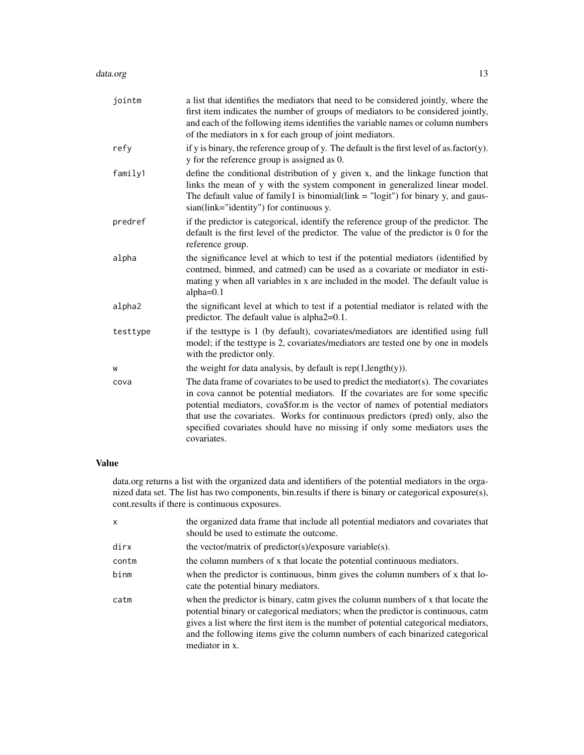#### data.org 13

| jointm   | a list that identifies the mediators that need to be considered jointly, where the<br>first item indicates the number of groups of mediators to be considered jointly,<br>and each of the following items identifies the variable names or column numbers<br>of the mediators in x for each group of joint mediators.                                                                                                                      |
|----------|--------------------------------------------------------------------------------------------------------------------------------------------------------------------------------------------------------------------------------------------------------------------------------------------------------------------------------------------------------------------------------------------------------------------------------------------|
| refy     | if y is binary, the reference group of y. The default is the first level of as $factor(y)$ .<br>y for the reference group is assigned as 0.                                                                                                                                                                                                                                                                                                |
| family1  | define the conditional distribution of y given x, and the linkage function that<br>links the mean of y with the system component in generalized linear model.<br>The default value of family1 is binomial(link = "logit") for binary y, and gaus-<br>sian(link="identity") for continuous y.                                                                                                                                               |
| predref  | if the predictor is categorical, identify the reference group of the predictor. The<br>default is the first level of the predictor. The value of the predictor is 0 for the<br>reference group.                                                                                                                                                                                                                                            |
| alpha    | the significance level at which to test if the potential mediators (identified by<br>contmed, binmed, and catmed) can be used as a covariate or mediator in esti-<br>mating y when all variables in x are included in the model. The default value is<br>alpha $=0.1$                                                                                                                                                                      |
| alpha2   | the significant level at which to test if a potential mediator is related with the<br>predictor. The default value is alpha2=0.1.                                                                                                                                                                                                                                                                                                          |
| testtype | if the testtype is 1 (by default), covariates/mediators are identified using full<br>model; if the testtype is 2, covariates/mediators are tested one by one in models<br>with the predictor only.                                                                                                                                                                                                                                         |
| W        | the weight for data analysis, by default is $rep(1, length(y))$ .                                                                                                                                                                                                                                                                                                                                                                          |
| cova     | The data frame of covariates to be used to predict the mediator $(s)$ . The covariates<br>in cova cannot be potential mediators. If the covariates are for some specific<br>potential mediators, cova\$for.m is the vector of names of potential mediators<br>that use the covariates. Works for continuous predictors (pred) only, also the<br>specified covariates should have no missing if only some mediators uses the<br>covariates. |

# Value

data.org returns a list with the organized data and identifiers of the potential mediators in the organized data set. The list has two components, bin.results if there is binary or categorical exposure(s), cont.results if there is continuous exposures.

| x     | the organized data frame that include all potential mediators and covariates that<br>should be used to estimate the outcome.                                                                                                                                                                                                                                    |
|-------|-----------------------------------------------------------------------------------------------------------------------------------------------------------------------------------------------------------------------------------------------------------------------------------------------------------------------------------------------------------------|
| dirx  | the vector/matrix of predictor(s)/exposure variable(s).                                                                                                                                                                                                                                                                                                         |
| contm | the column numbers of x that locate the potential continuous mediators.                                                                                                                                                                                                                                                                                         |
| binm  | when the predictor is continuous, binm gives the column numbers of x that lo-<br>cate the potential binary mediators.                                                                                                                                                                                                                                           |
| catm  | when the predictor is binary, catm gives the column numbers of x that locate the<br>potential binary or categorical mediators; when the predictor is continuous, catm<br>gives a list where the first item is the number of potential categorical mediators,<br>and the following items give the column numbers of each binarized categorical<br>mediator in x. |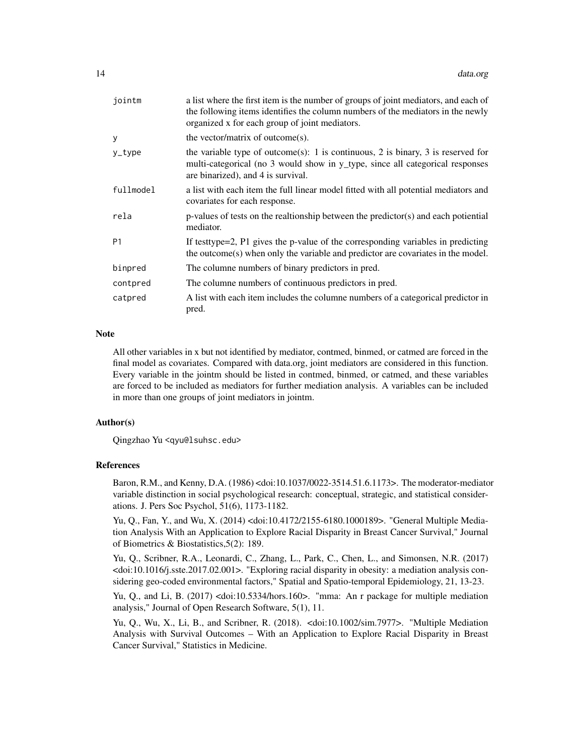| jointm    | a list where the first item is the number of groups of joint mediators, and each of<br>the following items identifies the column numbers of the mediators in the newly<br>organized x for each group of joint mediators. |
|-----------|--------------------------------------------------------------------------------------------------------------------------------------------------------------------------------------------------------------------------|
| у         | the vector/matrix of outcome(s).                                                                                                                                                                                         |
| y_type    | the variable type of outcome(s): 1 is continuous, 2 is binary, 3 is reserved for<br>multi-categorical (no 3 would show in y_type, since all categorical responses<br>are binarized), and 4 is survival.                  |
| fullmodel | a list with each item the full linear model fitted with all potential mediators and<br>covariates for each response.                                                                                                     |
| rela      | $p$ -values of tests on the realtionship between the predictor(s) and each potiential<br>mediator.                                                                                                                       |
| P1        | If testtype=2, P1 gives the p-value of the corresponding variables in predicting<br>the outcome(s) when only the variable and predictor are covariates in the model.                                                     |
| binpred   | The columne numbers of binary predictors in pred.                                                                                                                                                                        |
| contpred  | The columne numbers of continuous predictors in pred.                                                                                                                                                                    |
| catpred   | A list with each item includes the columne numbers of a categorical predictor in<br>pred.                                                                                                                                |

#### Note

All other variables in x but not identified by mediator, contmed, binmed, or catmed are forced in the final model as covariates. Compared with data.org, joint mediators are considered in this function. Every variable in the jointm should be listed in contmed, binmed, or catmed, and these variables are forced to be included as mediators for further mediation analysis. A variables can be included in more than one groups of joint mediators in jointm.

#### Author(s)

Qingzhao Yu <qyu@lsuhsc.edu>

#### References

Baron, R.M., and Kenny, D.A. (1986) <doi:10.1037/0022-3514.51.6.1173>. The moderator-mediator variable distinction in social psychological research: conceptual, strategic, and statistical considerations. J. Pers Soc Psychol, 51(6), 1173-1182.

Yu, Q., Fan, Y., and Wu, X. (2014) <doi:10.4172/2155-6180.1000189>. "General Multiple Mediation Analysis With an Application to Explore Racial Disparity in Breast Cancer Survival," Journal of Biometrics & Biostatistics,5(2): 189.

Yu, Q., Scribner, R.A., Leonardi, C., Zhang, L., Park, C., Chen, L., and Simonsen, N.R. (2017) <doi:10.1016/j.sste.2017.02.001>. "Exploring racial disparity in obesity: a mediation analysis considering geo-coded environmental factors," Spatial and Spatio-temporal Epidemiology, 21, 13-23.

Yu, Q., and Li, B. (2017) <doi:10.5334/hors.160>. "mma: An r package for multiple mediation analysis," Journal of Open Research Software, 5(1), 11.

Yu, Q., Wu, X., Li, B., and Scribner, R. (2018). <doi:10.1002/sim.7977>. "Multiple Mediation Analysis with Survival Outcomes – With an Application to Explore Racial Disparity in Breast Cancer Survival," Statistics in Medicine.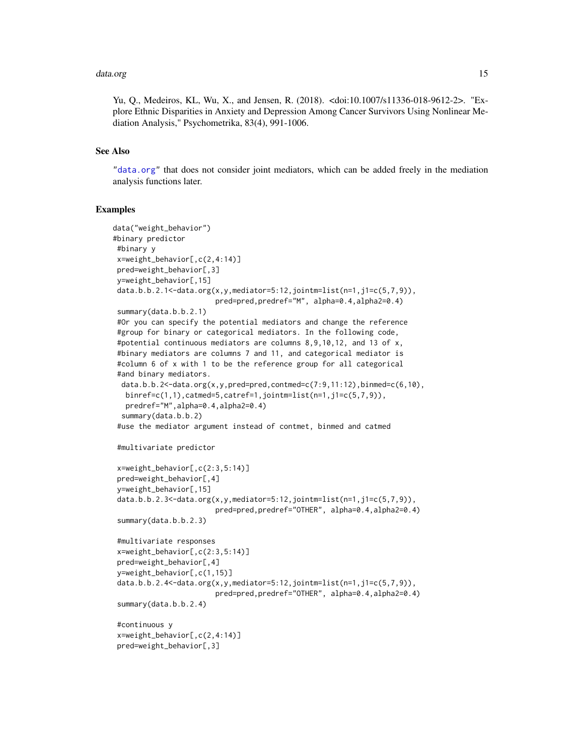#### <span id="page-14-0"></span>data.org 15

Yu, Q., Medeiros, KL, Wu, X., and Jensen, R. (2018). <doi:10.1007/s11336-018-9612-2>. "Explore Ethnic Disparities in Anxiety and Depression Among Cancer Survivors Using Nonlinear Mediation Analysis," Psychometrika, 83(4), 991-1006.

# See Also

["data.org"](#page-11-1) that does not consider joint mediators, which can be added freely in the mediation analysis functions later.

#### Examples

```
data("weight_behavior")
#binary predictor
#binary y
x=weight_behavior[,c(2,4:14)]
pred=weight_behavior[,3]
 y=weight_behavior[,15]
 data.b.b.2.1<-data.org(x,y,mediator=5:12,jointm=list(n=1,j1=c(5,7,9)),
                        pred=pred,predref="M", alpha=0.4,alpha2=0.4)
 summary(data.b.b.2.1)
 #Or you can specify the potential mediators and change the reference
 #group for binary or categorical mediators. In the following code,
 #potential continuous mediators are columns 8,9,10,12, and 13 of x,
 #binary mediators are columns 7 and 11, and categorical mediator is
 #column 6 of x with 1 to be the reference group for all categorical
 #and binary mediators.
 data.b.b.2<-data.org(x,y,pred=pred,contmed=c(7:9,11:12),binmed=c(6,10),
  binref=c(1,1),catmed=5,catref=1,jointm=list(n=1,j1=c(5,7,9)),
  predref="M",alpha=0.4,alpha2=0.4)
 summary(data.b.b.2)
 #use the mediator argument instead of contmet, binmed and catmed
 #multivariate predictor
 x=weight_behavior[,c(2:3,5:14)]
 pred=weight_behavior[,4]
 y=weight_behavior[,15]
 data.b.b.2.3<-data.org(x,y,mediator=5:12,jointm=list(n=1,j1=c(5,7,9)),
                        pred=pred,predref="OTHER", alpha=0.4,alpha2=0.4)
 summary(data.b.b.2.3)
 #multivariate responses
 x=weight_behavior[,c(2:3,5:14)]
 pred=weight_behavior[,4]
 y=weight_behavior[,c(1,15)]
 data.b.b.2.4<-data.org(x,y,mediator=5:12,jointm=list(n=1,j1=c(5,7,9)),
                        pred=pred,predref="OTHER", alpha=0.4,alpha2=0.4)
 summary(data.b.b.2.4)
 #continuous y
 x=weight_behavior[,c(2,4:14)]
 pred=weight_behavior[,3]
```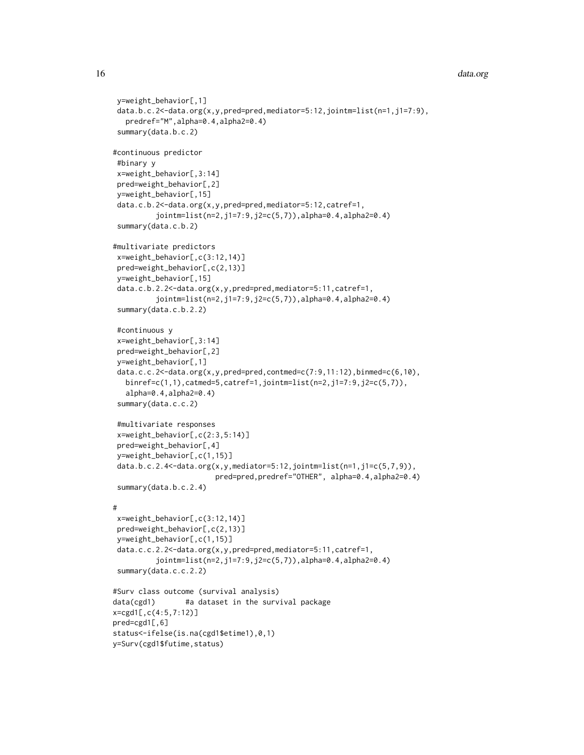```
y=weight_behavior[,1]
 data.b.c.2<-data.org(x,y,pred=pred,mediator=5:12,jointm=list(n=1,j1=7:9),
  predref="M",alpha=0.4,alpha2=0.4)
 summary(data.b.c.2)
#continuous predictor
#binary y
 x=weight_behavior[,3:14]
pred=weight_behavior[,2]
y=weight_behavior[,15]
 data.c.b.2<-data.org(x,y,pred=pred,mediator=5:12,catref=1,
          jointm=list(n=2,j1=7:9,j2=c(5,7)),alpha=0.4,alpha2=0.4)
 summary(data.c.b.2)
#multivariate predictors
x=weight_behavior[,c(3:12,14)]
pred=weight_behavior[,c(2,13)]
y=weight_behavior[,15]
 data.c.b.2.2<-data.org(x,y,pred=pred,mediator=5:11,catref=1,
          jointm=list(n=2,j1=7:9,j2=c(5,7)),alpha=0.4,alpha2=0.4)
 summary(data.c.b.2.2)
 #continuous y
 x=weight_behavior[,3:14]
 pred=weight_behavior[,2]
 y=weight_behavior[,1]
 data.c.c.2<-data.org(x,y,pred=pred,contmed=c(7:9,11:12),binmed=c(6,10),
  binref=c(1,1),catmed=5,catref=1,jointm=list(n=2,j1=7:9,j2=c(5,7)),
   alpha=0.4,alpha2=0.4)
 summary(data.c.c.2)
 #multivariate responses
 x=weight_behavior[,c(2:3,5:14)]
 pred=weight_behavior[,4]
 y=weight_behavior[,c(1,15)]
 data.b.c.2.4<-data.org(x,y,mediator=5:12,jointm=list(n=1,j1=c(5,7,9)),
                        pred=pred,predref="OTHER", alpha=0.4,alpha2=0.4)
 summary(data.b.c.2.4)
#
x=weight_behavior[,c(3:12,14)]
 pred=weight_behavior[,c(2,13)]
y=weight_behavior[,c(1,15)]
 data.c.c.2.2<-data.org(x,y,pred=pred,mediator=5:11,catref=1,
          jointm=list(n=2,j1=7:9,j2=c(5,7)),alpha=0.4,alpha2=0.4)
 summary(data.c.c.2.2)
#Surv class outcome (survival analysis)
data(cgd1) #a dataset in the survival package
x=cgd1[,c(4:5,7:12)]
pred=cgd1[,6]
status<-ifelse(is.na(cgd1$etime1),0,1)
y=Surv(cgd1$futime,status)
```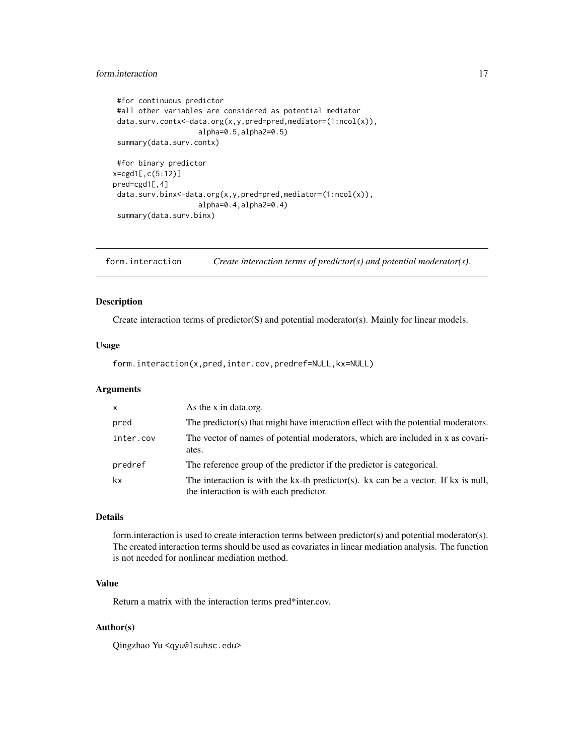# <span id="page-16-0"></span>form.interaction 17

```
#for continuous predictor
 #all other variables are considered as potential mediator
data.surv.contx<-data.org(x,y,pred=pred,mediator=(1:ncol(x)),
                    alpha=0.5,alpha2=0.5)
summary(data.surv.contx)
#for binary predictor
x=cgd1[,c(5:12)]
pred=cgd1[,4]
data.surv.binx<-data.org(x,y,pred=pred,mediator=(1:ncol(x)),
                    alpha=0.4,alpha2=0.4)
 summary(data.surv.binx)
```
<span id="page-16-1"></span>form.interaction *Create interaction terms of predictor(s) and potential moderator(s).*

# Description

Create interaction terms of predictor(S) and potential moderator(s). Mainly for linear models.

# Usage

form.interaction(x,pred,inter.cov,predref=NULL,kx=NULL)

# Arguments

| $\mathsf{X}$ | As the x in data.org.                                                                                                         |
|--------------|-------------------------------------------------------------------------------------------------------------------------------|
| pred         | The predictor(s) that might have interaction effect with the potential moderators.                                            |
| inter.cov    | The vector of names of potential moderators, which are included in x as covari-<br>ates.                                      |
| predref      | The reference group of the predictor if the predictor is categorical.                                                         |
| kx           | The interaction is with the kx-th predictor(s). kx can be a vector. If kx is null,<br>the interaction is with each predictor. |

#### Details

form.interaction is used to create interaction terms between predictor(s) and potential moderator(s). The created interaction terms should be used as covariates in linear mediation analysis. The function is not needed for nonlinear mediation method.

# Value

Return a matrix with the interaction terms pred\*inter.cov.

# Author(s)

Qingzhao Yu <qyu@lsuhsc.edu>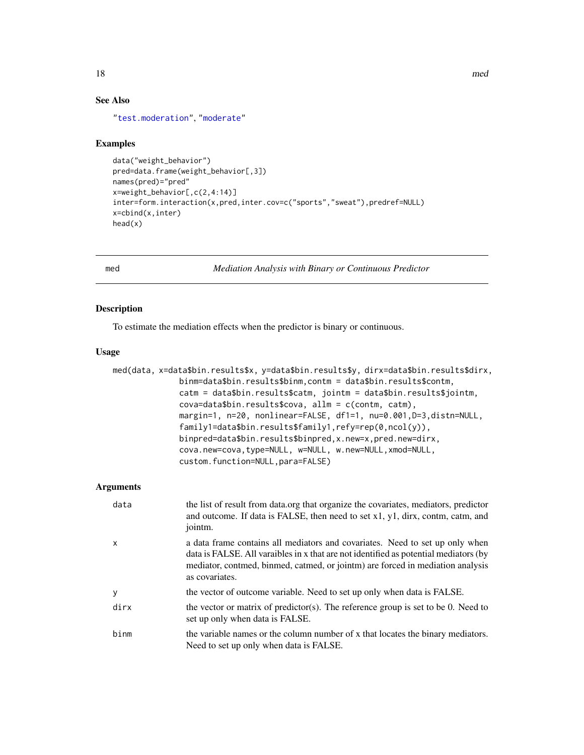# See Also

["test.moderation"](#page-39-1), ["moderate"](#page-27-1)

#### Examples

```
data("weight_behavior")
pred=data.frame(weight_behavior[,3])
names(pred)="pred"
x=weight_behavior[,c(2,4:14)]
inter=form.interaction(x,pred,inter.cov=c("sports","sweat"),predref=NULL)
x=cbind(x,inter)
head(x)
```
<span id="page-17-1"></span>

med *Mediation Analysis with Binary or Continuous Predictor*

# Description

To estimate the mediation effects when the predictor is binary or continuous.

#### Usage

```
med(data, x=data$bin.results$x, y=data$bin.results$y, dirx=data$bin.results$dirx,
                   binm=data$bin.results$binm,contm = data$bin.results$contm,
                   catm = data$bin.results$catm, jointm = data$bin.results$jointm,
                   cova=data$bin.results$cova, allm = c(contm, catm),
                   margin=1, n=20, nonlinear=FALSE, df1=1, nu=0.001,D=3,distn=NULL,
                   family1=data$bin.results$family1,refy=rep(0,ncol(y)),
                   binpred=data$bin.results$binpred,x.new=x,pred.new=dirx,
                   cova.new=cova,type=NULL, w=NULL, w.new=NULL,xmod=NULL,
                   custom.function=NULL,para=FALSE)
Arguments
   data the list of result from data.org that organize the covariates, mediators, predictor
                    and outcome. If data is FALSE, then need to set x1, y1, dirx, contm, catm, and
                    jointm.
    x a data frame contains all mediators and covariates. Need to set up only when
                    data is FALSE. All varaibles in x that are not identified as potential mediators (by
                    mediator, contmed, binmed, catmed, or jointm) are forced in mediation analysis
                    as covariates.
   y the vector of outcome variable. Need to set up only when data is FALSE.
   dirx the vector or matrix of predictor(s). The reference group is set to be 0. Need to
                    set up only when data is FALSE.
    binm the variable names or the column number of x that locates the binary mediators.
                    Need to set up only when data is FALSE.
```
<span id="page-17-0"></span>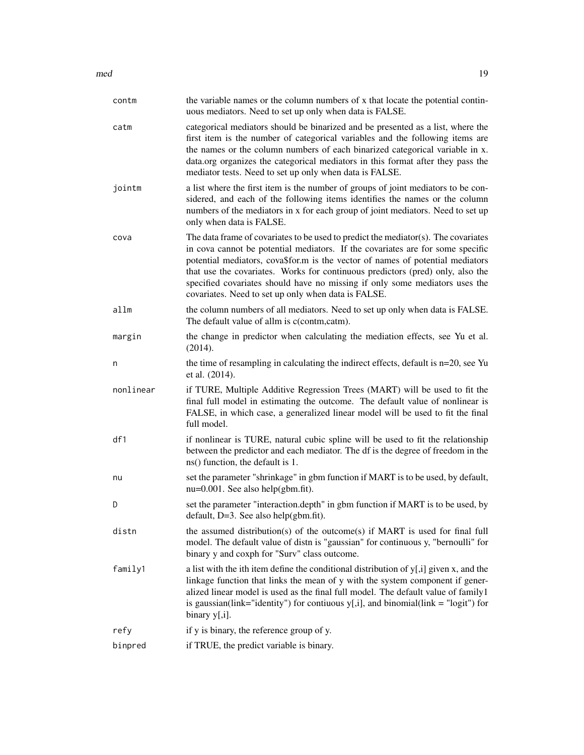| contm     | the variable names or the column numbers of x that locate the potential contin-<br>uous mediators. Need to set up only when data is FALSE.                                                                                                                                                                                                                                                                                                                                     |
|-----------|--------------------------------------------------------------------------------------------------------------------------------------------------------------------------------------------------------------------------------------------------------------------------------------------------------------------------------------------------------------------------------------------------------------------------------------------------------------------------------|
| catm      | categorical mediators should be binarized and be presented as a list, where the<br>first item is the number of categorical variables and the following items are<br>the names or the column numbers of each binarized categorical variable in x.<br>data.org organizes the categorical mediators in this format after they pass the<br>mediator tests. Need to set up only when data is FALSE.                                                                                 |
| jointm    | a list where the first item is the number of groups of joint mediators to be con-<br>sidered, and each of the following items identifies the names or the column<br>numbers of the mediators in x for each group of joint mediators. Need to set up<br>only when data is FALSE.                                                                                                                                                                                                |
| cova      | The data frame of covariates to be used to predict the mediator(s). The covariates<br>in cova cannot be potential mediators. If the covariates are for some specific<br>potential mediators, cova\$for.m is the vector of names of potential mediators<br>that use the covariates. Works for continuous predictors (pred) only, also the<br>specified covariates should have no missing if only some mediators uses the<br>covariates. Need to set up only when data is FALSE. |
| allm      | the column numbers of all mediators. Need to set up only when data is FALSE.<br>The default value of allm is c(contm,catm).                                                                                                                                                                                                                                                                                                                                                    |
| margin    | the change in predictor when calculating the mediation effects, see Yu et al.<br>(2014).                                                                                                                                                                                                                                                                                                                                                                                       |
| n         | the time of resampling in calculating the indirect effects, default is n=20, see Yu<br>et al. (2014).                                                                                                                                                                                                                                                                                                                                                                          |
| nonlinear | if TURE, Multiple Additive Regression Trees (MART) will be used to fit the<br>final full model in estimating the outcome. The default value of nonlinear is<br>FALSE, in which case, a generalized linear model will be used to fit the final<br>full model.                                                                                                                                                                                                                   |
| df1       | if nonlinear is TURE, natural cubic spline will be used to fit the relationship<br>between the predictor and each mediator. The df is the degree of freedom in the<br>ns() function, the default is 1.                                                                                                                                                                                                                                                                         |
| nu        | set the parameter "shrinkage" in gbm function if MART is to be used, by default,<br>$nu=0.001$ . See also help(gbm.fit).                                                                                                                                                                                                                                                                                                                                                       |
| D         | set the parameter "interaction.depth" in gbm function if MART is to be used, by<br>default, D=3. See also help(gbm.fit).                                                                                                                                                                                                                                                                                                                                                       |
| distn     | the assumed distribution(s) of the outcome(s) if MART is used for final full<br>model. The default value of distn is "gaussian" for continuous y, "bernoulli" for<br>binary y and coxph for "Surv" class outcome.                                                                                                                                                                                                                                                              |
| family1   | a list with the ith item define the conditional distribution of $y$ [,i] given x, and the<br>linkage function that links the mean of y with the system component if gener-<br>alized linear model is used as the final full model. The default value of family1<br>is gaussian(link="identity") for contiuous $y$ [,i], and binomial(link = "logit") for<br>binary $y[i]$ .                                                                                                    |
| refy      | if y is binary, the reference group of y.                                                                                                                                                                                                                                                                                                                                                                                                                                      |
| binpred   | if TRUE, the predict variable is binary.                                                                                                                                                                                                                                                                                                                                                                                                                                       |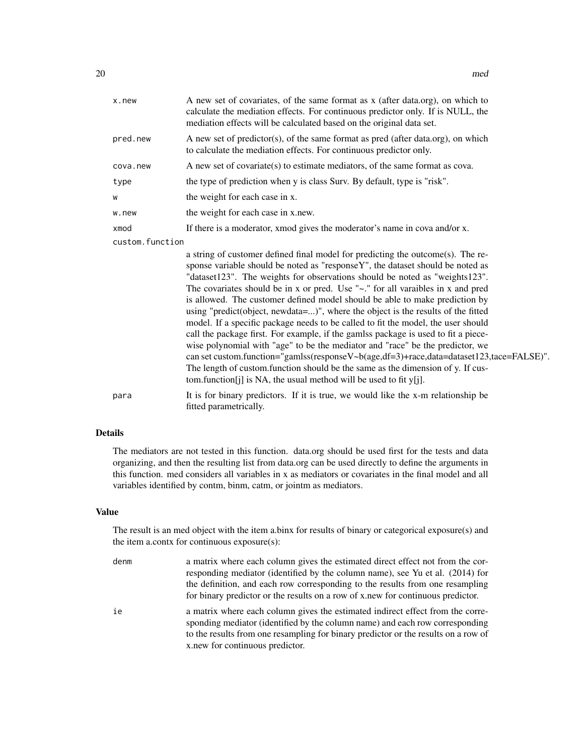| x.new           | A new set of covariates, of the same format as x (after data.org), on which to<br>calculate the mediation effects. For continuous predictor only. If is NULL, the<br>mediation effects will be calculated based on the original data set.                                                                                                                                                                                                                                                                                                                                                                                                                                                                                                                                                                                                                                                                                                                                                                                        |  |
|-----------------|----------------------------------------------------------------------------------------------------------------------------------------------------------------------------------------------------------------------------------------------------------------------------------------------------------------------------------------------------------------------------------------------------------------------------------------------------------------------------------------------------------------------------------------------------------------------------------------------------------------------------------------------------------------------------------------------------------------------------------------------------------------------------------------------------------------------------------------------------------------------------------------------------------------------------------------------------------------------------------------------------------------------------------|--|
| pred.new        | A new set of predictor(s), of the same format as pred (after data.org), on which<br>to calculate the mediation effects. For continuous predictor only.                                                                                                                                                                                                                                                                                                                                                                                                                                                                                                                                                                                                                                                                                                                                                                                                                                                                           |  |
| cova.new        | A new set of covariate(s) to estimate mediators, of the same format as cova.                                                                                                                                                                                                                                                                                                                                                                                                                                                                                                                                                                                                                                                                                                                                                                                                                                                                                                                                                     |  |
| type            | the type of prediction when y is class Surv. By default, type is "risk".                                                                                                                                                                                                                                                                                                                                                                                                                                                                                                                                                                                                                                                                                                                                                                                                                                                                                                                                                         |  |
| W               | the weight for each case in x.                                                                                                                                                                                                                                                                                                                                                                                                                                                                                                                                                                                                                                                                                                                                                                                                                                                                                                                                                                                                   |  |
| w.new           | the weight for each case in x.new.                                                                                                                                                                                                                                                                                                                                                                                                                                                                                                                                                                                                                                                                                                                                                                                                                                                                                                                                                                                               |  |
| xmod            | If there is a moderator, xmod gives the moderator's name in cova and/or x.                                                                                                                                                                                                                                                                                                                                                                                                                                                                                                                                                                                                                                                                                                                                                                                                                                                                                                                                                       |  |
| custom.function |                                                                                                                                                                                                                                                                                                                                                                                                                                                                                                                                                                                                                                                                                                                                                                                                                                                                                                                                                                                                                                  |  |
|                 | a string of customer defined final model for predicting the outcome(s). The re-<br>sponse variable should be noted as "responseY", the dataset should be noted as<br>"dataset123". The weights for observations should be noted as "weights123".<br>The covariates should be in x or pred. Use " $\sim$ ." for all varaibles in x and pred<br>is allowed. The customer defined model should be able to make prediction by<br>using "predict(object, newdata=)", where the object is the results of the fitted<br>model. If a specific package needs to be called to fit the model, the user should<br>call the package first. For example, if the gamlss package is used to fit a piece-<br>wise polynomial with "age" to be the mediator and "race" be the predictor, we<br>can set custom.function="gamlss(responseV~b(age,df=3)+race,data=dataset123,tace=FALSE)".<br>The length of custom.function should be the same as the dimension of y. If cus-<br>tom.function[j] is NA, the usual method will be used to fit $y[i]$ . |  |
| para            | It is for binary predictors. If it is true, we would like the x-m relationship be<br>fitted parametrically.                                                                                                                                                                                                                                                                                                                                                                                                                                                                                                                                                                                                                                                                                                                                                                                                                                                                                                                      |  |

# Details

The mediators are not tested in this function. data.org should be used first for the tests and data organizing, and then the resulting list from data.org can be used directly to define the arguments in this function. med considers all variables in x as mediators or covariates in the final model and all variables identified by contm, binm, catm, or jointm as mediators.

# Value

The result is an med object with the item a.binx for results of binary or categorical exposure(s) and the item a.contx for continuous exposure(s):

| denm | a matrix where each column gives the estimated direct effect not from the cor-<br>responding mediator (identified by the column name), see Yu et al. (2014) for<br>the definition, and each row corresponding to the results from one resampling<br>for binary predictor or the results on a row of x, new for continuous predictor. |
|------|--------------------------------------------------------------------------------------------------------------------------------------------------------------------------------------------------------------------------------------------------------------------------------------------------------------------------------------|
| ie   | a matrix where each column gives the estimated indirect effect from the corre-<br>sponding mediator (identified by the column name) and each row corresponding<br>to the results from one resampling for binary predictor or the results on a row of<br>x.new for continuous predictor.                                              |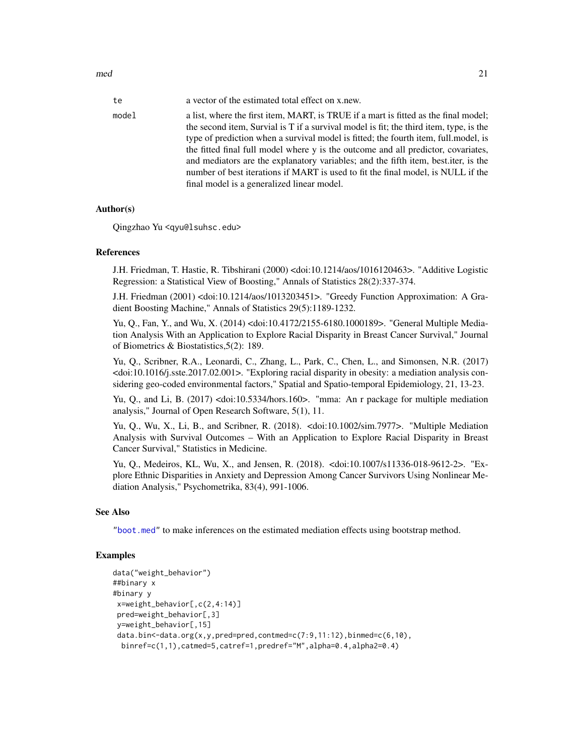<span id="page-20-0"></span> $\mathbf{mod}$  21

| te    | a vector of the estimated total effect on x.new.                                                                                                                                                                                                                                                                                                          |
|-------|-----------------------------------------------------------------------------------------------------------------------------------------------------------------------------------------------------------------------------------------------------------------------------------------------------------------------------------------------------------|
| model | a list, where the first item, MART, is TRUE if a mart is fitted as the final model;<br>the second item, Survial is T if a survival model is fit; the third item, type, is the<br>type of prediction when a survival model is fitted; the fourth item, full model, is<br>the fitted final full model where y is the outcome and all predictor, covariates, |
|       | and mediators are the explanatory variables; and the fifth item, best.iter, is the<br>number of best iterations if MART is used to fit the final model, is NULL if the<br>final model is a generalized linear model.                                                                                                                                      |

# Author(s)

Qingzhao Yu <qyu@lsuhsc.edu>

# References

J.H. Friedman, T. Hastie, R. Tibshirani (2000) <doi:10.1214/aos/1016120463>. "Additive Logistic Regression: a Statistical View of Boosting," Annals of Statistics 28(2):337-374.

J.H. Friedman (2001) <doi:10.1214/aos/1013203451>. "Greedy Function Approximation: A Gradient Boosting Machine," Annals of Statistics 29(5):1189-1232.

Yu, Q., Fan, Y., and Wu, X. (2014) <doi:10.4172/2155-6180.1000189>. "General Multiple Mediation Analysis With an Application to Explore Racial Disparity in Breast Cancer Survival," Journal of Biometrics & Biostatistics,5(2): 189.

Yu, Q., Scribner, R.A., Leonardi, C., Zhang, L., Park, C., Chen, L., and Simonsen, N.R. (2017) <doi:10.1016/j.sste.2017.02.001>. "Exploring racial disparity in obesity: a mediation analysis considering geo-coded environmental factors," Spatial and Spatio-temporal Epidemiology, 21, 13-23.

Yu, Q., and Li, B. (2017) <doi:10.5334/hors.160>. "mma: An r package for multiple mediation analysis," Journal of Open Research Software, 5(1), 11.

Yu, Q., Wu, X., Li, B., and Scribner, R. (2018). <doi:10.1002/sim.7977>. "Multiple Mediation Analysis with Survival Outcomes – With an Application to Explore Racial Disparity in Breast Cancer Survival," Statistics in Medicine.

Yu, Q., Medeiros, KL, Wu, X., and Jensen, R. (2018). <doi:10.1007/s11336-018-9612-2>. "Explore Ethnic Disparities in Anxiety and Depression Among Cancer Survivors Using Nonlinear Mediation Analysis," Psychometrika, 83(4), 991-1006.

#### See Also

["boot.med"](#page-3-1) to make inferences on the estimated mediation effects using bootstrap method.

# Examples

```
data("weight_behavior")
##binary x
#binary y
x=weight_behavior[,c(2,4:14)]
 pred=weight_behavior[,3]
 y=weight_behavior[,15]
 data.bin<-data.org(x,y,pred=pred,contmed=c(7:9,11:12),binmed=c(6,10),
 binref=c(1,1),catmed=5,catref=1,predref="M",alpha=0.4,alpha2=0.4)
```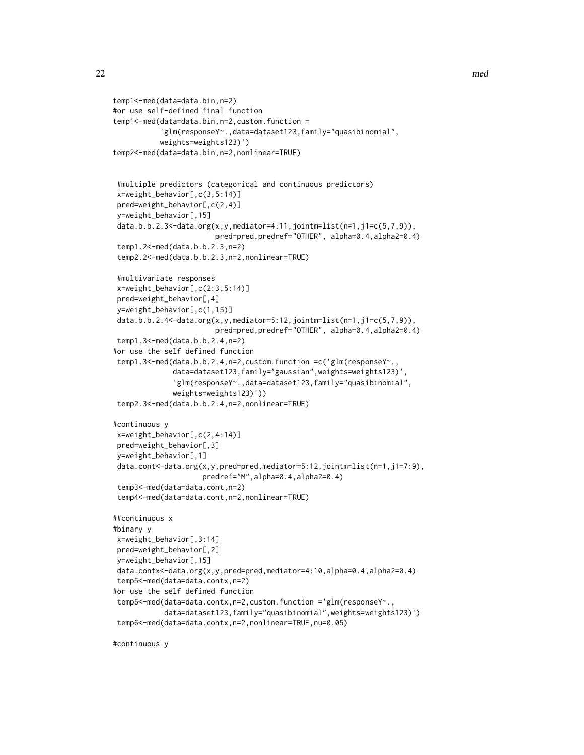```
temp1<-med(data=data.bin,n=2)
#or use self-defined final function
temp1<-med(data=data.bin,n=2,custom.function =
           'glm(responseY~.,data=dataset123,family="quasibinomial",
           weights=weights123)')
temp2<-med(data=data.bin,n=2,nonlinear=TRUE)
#multiple predictors (categorical and continuous predictors)
x=weight_behavior[,c(3,5:14)]
pred=weight_behavior[,c(2,4)]
y=weight_behavior[,15]
data.b.b.2.3<-data.org(x,y,mediator=4:11,jointm=list(n=1,j1=c(5,7,9)),
                        pred=pred,predref="OTHER", alpha=0.4,alpha2=0.4)
temp1.2<-med(data.b.b.2.3,n=2)
temp2.2<-med(data.b.b.2.3,n=2,nonlinear=TRUE)
#multivariate responses
x=weight_behavior[,c(2:3,5:14)]
pred=weight_behavior[,4]
y=weight_behavior[,c(1,15)]
data.b.b.2.4 <- data.org(x, y, \text{mediator}=5:12, \text{jointm}=\text{list(n=1,j1=c(5,7,9))},
                        pred=pred,predref="OTHER", alpha=0.4,alpha2=0.4)
temp1.3<-med(data.b.b.2.4,n=2)
#or use the self defined function
temp1.3<-med(data.b.b.2.4,n=2,custom.function =c('glm(responseY~.,
              data=dataset123,family="gaussian",weights=weights123)'
              'glm(responseY~.,data=dataset123,family="quasibinomial",
              weights=weights123)'))
temp2.3<-med(data.b.b.2.4,n=2,nonlinear=TRUE)
#continuous y
x=weight_behavior[,c(2,4:14)]
pred=weight_behavior[,3]
y=weight_behavior[,1]
data.cont<-data.org(x,y,pred=pred,mediator=5:12,jointm=list(n=1,j1=7:9),
                     predref="M",alpha=0.4,alpha2=0.4)
temp3<-med(data=data.cont,n=2)
temp4<-med(data=data.cont,n=2,nonlinear=TRUE)
##continuous x
#binary y
x=weight_behavior[,3:14]
pred=weight_behavior[,2]
y=weight_behavior[,15]
data.contx<-data.org(x,y,pred=pred,mediator=4:10,alpha=0.4,alpha2=0.4)
temp5<-med(data=data.contx,n=2)
#or use the self defined function
temp5<-med(data=data.contx,n=2,custom.function ='glm(responseY~.,
            data=dataset123,family="quasibinomial",weights=weights123)')
temp6<-med(data=data.contx,n=2,nonlinear=TRUE,nu=0.05)
```
#continuous y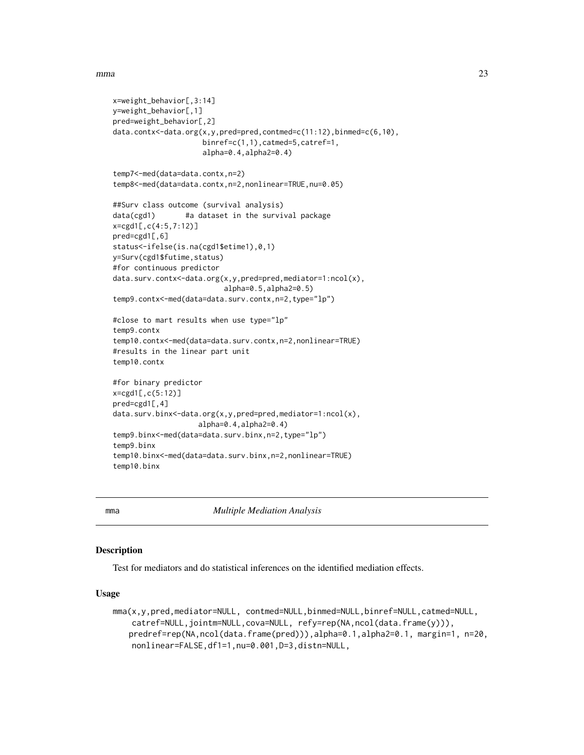#### <span id="page-22-0"></span> $mma$  23

```
x=weight_behavior[,3:14]
y=weight_behavior[,1]
pred=weight_behavior[,2]
data.contx<-data.org(x,y,pred=pred,contmed=c(11:12),binmed=c(6,10),
                     binref=c(1,1),catmed=5,catref=1,
                     alpha=0.4,alpha2=0.4)
temp7<-med(data=data.contx,n=2)
temp8<-med(data=data.contx,n=2,nonlinear=TRUE,nu=0.05)
##Surv class outcome (survival analysis)
data(cgd1) #a dataset in the survival package
x=cgd1[,c(4:5,7:12)]
pred=cgd1[,6]
status<-ifelse(is.na(cgd1$etime1),0,1)
y=Surv(cgd1$futime,status)
#for continuous predictor
data.surv.contx<-data.org(x,y,pred=pred,mediator=1:ncol(x),
                          alpha=0.5,alpha2=0.5)
temp9.contx<-med(data=data.surv.contx,n=2,type="lp")
#close to mart results when use type="lp"
temp9.contx
temp10.contx<-med(data=data.surv.contx,n=2,nonlinear=TRUE)
#results in the linear part unit
temp10.contx
#for binary predictor
x=cgd1[,c(5:12)]
pred=cgd1[,4]
data.surv.binx<-data.org(x,y,pred=pred,mediator=1:ncol(x),
                    alpha=0.4,alpha2=0.4)
temp9.binx<-med(data=data.surv.binx,n=2,type="lp")
temp9.binx
temp10.binx<-med(data=data.surv.binx,n=2,nonlinear=TRUE)
temp10.binx
```
<span id="page-22-1"></span>

mma *Multiple Mediation Analysis*

# Description

Test for mediators and do statistical inferences on the identified mediation effects.

# Usage

```
mma(x,y,pred,mediator=NULL, contmed=NULL,binmed=NULL,binref=NULL,catmed=NULL,
   catref=NULL,jointm=NULL,cova=NULL, refy=rep(NA,ncol(data.frame(y))),
   predref=rep(NA,ncol(data.frame(pred))),alpha=0.1,alpha2=0.1, margin=1, n=20,
   nonlinear=FALSE,df1=1,nu=0.001,D=3,distn=NULL,
```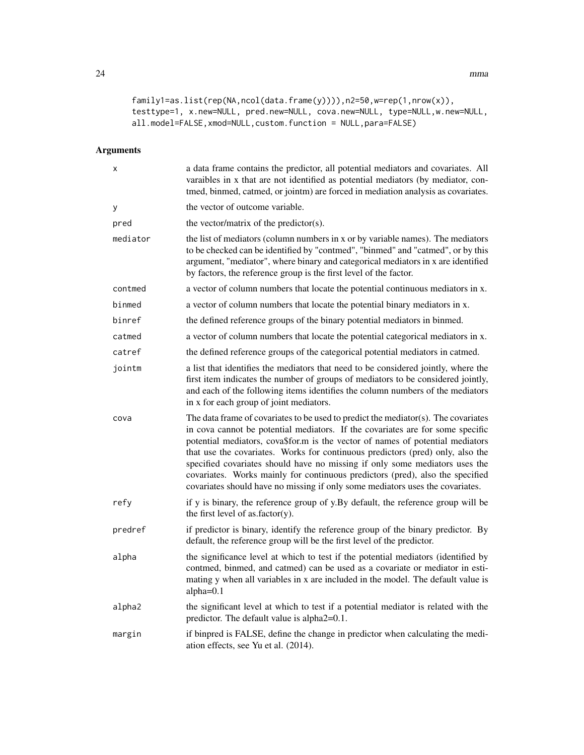```
family1=as.list(rep(NA,ncol(data.frame(y)))),n2=50,w=rep(1,nrow(x)),
testtype=1, x.new=NULL, pred.new=NULL, cova.new=NULL, type=NULL,w.new=NULL,
all.model=FALSE,xmod=NULL,custom.function = NULL,para=FALSE)
```
# Arguments

| X        | a data frame contains the predictor, all potential mediators and covariates. All<br>varaibles in x that are not identified as potential mediators (by mediator, con-<br>tmed, binmed, catmed, or jointm) are forced in mediation analysis as covariates.                                                                                                                                                                                                                                                                                                                                  |
|----------|-------------------------------------------------------------------------------------------------------------------------------------------------------------------------------------------------------------------------------------------------------------------------------------------------------------------------------------------------------------------------------------------------------------------------------------------------------------------------------------------------------------------------------------------------------------------------------------------|
| у        | the vector of outcome variable.                                                                                                                                                                                                                                                                                                                                                                                                                                                                                                                                                           |
| pred     | the vector/matrix of the predictor(s).                                                                                                                                                                                                                                                                                                                                                                                                                                                                                                                                                    |
| mediator | the list of mediators (column numbers in x or by variable names). The mediators<br>to be checked can be identified by "contmed", "binmed" and "catmed", or by this<br>argument, "mediator", where binary and categorical mediators in x are identified<br>by factors, the reference group is the first level of the factor.                                                                                                                                                                                                                                                               |
| contmed  | a vector of column numbers that locate the potential continuous mediators in x.                                                                                                                                                                                                                                                                                                                                                                                                                                                                                                           |
| binmed   | a vector of column numbers that locate the potential binary mediators in x.                                                                                                                                                                                                                                                                                                                                                                                                                                                                                                               |
| binref   | the defined reference groups of the binary potential mediators in binmed.                                                                                                                                                                                                                                                                                                                                                                                                                                                                                                                 |
| catmed   | a vector of column numbers that locate the potential categorical mediators in x.                                                                                                                                                                                                                                                                                                                                                                                                                                                                                                          |
| catref   | the defined reference groups of the categorical potential mediators in catmed.                                                                                                                                                                                                                                                                                                                                                                                                                                                                                                            |
| jointm   | a list that identifies the mediators that need to be considered jointly, where the<br>first item indicates the number of groups of mediators to be considered jointly,<br>and each of the following items identifies the column numbers of the mediators<br>in x for each group of joint mediators.                                                                                                                                                                                                                                                                                       |
| cova     | The data frame of covariates to be used to predict the mediator(s). The covariates<br>in cova cannot be potential mediators. If the covariates are for some specific<br>potential mediators, cova\$for.m is the vector of names of potential mediators<br>that use the covariates. Works for continuous predictors (pred) only, also the<br>specified covariates should have no missing if only some mediators uses the<br>covariates. Works mainly for continuous predictors (pred), also the specified<br>covariates should have no missing if only some mediators uses the covariates. |
| refy     | if y is binary, the reference group of y.By default, the reference group will be<br>the first level of as.factor(y).                                                                                                                                                                                                                                                                                                                                                                                                                                                                      |
| predref  | if predictor is binary, identify the reference group of the binary predictor. By<br>default, the reference group will be the first level of the predictor.                                                                                                                                                                                                                                                                                                                                                                                                                                |
| alpha    | the significance level at which to test if the potential mediators (identified by<br>contmed, binmed, and catmed) can be used as a covariate or mediator in esti-<br>mating y when all variables in x are included in the model. The default value is<br>$alpha=0.1$                                                                                                                                                                                                                                                                                                                      |
| alpha2   | the significant level at which to test if a potential mediator is related with the<br>predictor. The default value is alpha2=0.1.                                                                                                                                                                                                                                                                                                                                                                                                                                                         |
| margin   | if binpred is FALSE, define the change in predictor when calculating the medi-<br>ation effects, see Yu et al. (2014).                                                                                                                                                                                                                                                                                                                                                                                                                                                                    |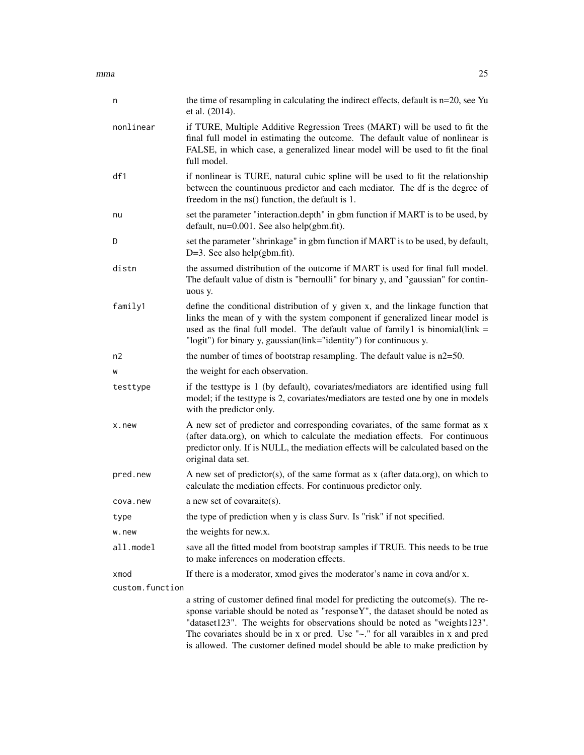$mma$  25

| n               | the time of resampling in calculating the indirect effects, default is n=20, see Yu<br>et al. (2014).                                                                                                                                                                                                                    |
|-----------------|--------------------------------------------------------------------------------------------------------------------------------------------------------------------------------------------------------------------------------------------------------------------------------------------------------------------------|
| nonlinear       | if TURE, Multiple Additive Regression Trees (MART) will be used to fit the<br>final full model in estimating the outcome. The default value of nonlinear is<br>FALSE, in which case, a generalized linear model will be used to fit the final<br>full model.                                                             |
| df1             | if nonlinear is TURE, natural cubic spline will be used to fit the relationship<br>between the countinuous predictor and each mediator. The df is the degree of<br>freedom in the ns() function, the default is 1.                                                                                                       |
| nu              | set the parameter "interaction.depth" in gbm function if MART is to be used, by<br>default, nu=0.001. See also help(gbm.fit).                                                                                                                                                                                            |
| D               | set the parameter "shrinkage" in gbm function if MART is to be used, by default,<br>$D=3$ . See also help(gbm.fit).                                                                                                                                                                                                      |
| distn           | the assumed distribution of the outcome if MART is used for final full model.<br>The default value of distn is "bernoulli" for binary y, and "gaussian" for contin-<br>uous y.                                                                                                                                           |
| family1         | define the conditional distribution of y given x, and the linkage function that<br>links the mean of y with the system component if generalized linear model is<br>used as the final full model. The default value of family1 is binomial(link $=$<br>"logit") for binary y, gaussian(link="identity") for continuous y. |
| n2              | the number of times of bootstrap resampling. The default value is $n2=50$ .                                                                                                                                                                                                                                              |
| W               | the weight for each observation.                                                                                                                                                                                                                                                                                         |
| testtype        | if the testtype is 1 (by default), covariates/mediators are identified using full<br>model; if the testtype is 2, covariates/mediators are tested one by one in models<br>with the predictor only.                                                                                                                       |
| x.new           | A new set of predictor and corresponding covariates, of the same format as x<br>(after data.org), on which to calculate the mediation effects. For continuous<br>predictor only. If is NULL, the mediation effects will be calculated based on the<br>original data set.                                                 |
| pred.new        | A new set of predictor(s), of the same format as $x$ (after data.org), on which to<br>calculate the mediation effects. For continuous predictor only.                                                                                                                                                                    |
| cova.new        | a new set of covaraite(s).                                                                                                                                                                                                                                                                                               |
| type            | the type of prediction when y is class Surv. Is "risk" if not specified.                                                                                                                                                                                                                                                 |
| w.new           | the weights for new.x.                                                                                                                                                                                                                                                                                                   |
| all.model       | save all the fitted model from bootstrap samples if TRUE. This needs to be true<br>to make inferences on moderation effects.                                                                                                                                                                                             |
| xmod            | If there is a moderator, xmod gives the moderator's name in cova and/or x.                                                                                                                                                                                                                                               |
| custom.function |                                                                                                                                                                                                                                                                                                                          |
|                 | a string of customer defined final model for predicting the outcome(s). The re-                                                                                                                                                                                                                                          |

sponse variable should be noted as "responseY", the dataset should be noted as "dataset123". The weights for observations should be noted as "weights123". The covariates should be in x or pred. Use "~." for all varaibles in x and pred is allowed. The customer defined model should be able to make prediction by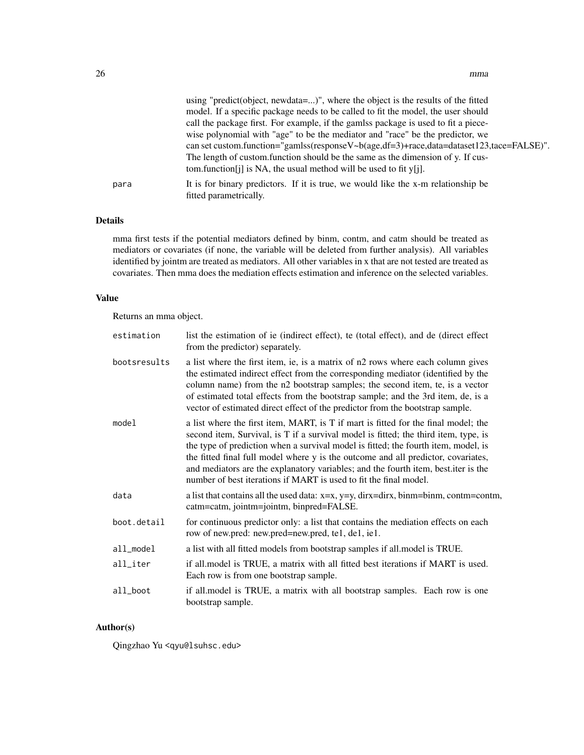|      | using "predict(object, newdata=)", where the object is the results of the fitted                            |
|------|-------------------------------------------------------------------------------------------------------------|
|      | model. If a specific package needs to be called to fit the model, the user should                           |
|      | call the package first. For example, if the gamlss package is used to fit a piece-                          |
|      | wise polynomial with "age" to be the mediator and "race" be the predictor, we                               |
|      | can set custom.function="gamlss(response $V \sim b(age, df=3) + race, data = dataset 123, face = FALSE)$ ". |
|      | The length of custom function should be the same as the dimension of y. If cus-                             |
|      | tom.function [j] is NA, the usual method will be used to fit $y[i]$ .                                       |
| para | It is for binary predictors. If it is true, we would like the x-m relationship be<br>fitted parametrically. |
|      |                                                                                                             |

# Details

mma first tests if the potential mediators defined by binm, contm, and catm should be treated as mediators or covariates (if none, the variable will be deleted from further analysis). All variables identified by jointm are treated as mediators. All other variables in x that are not tested are treated as covariates. Then mma does the mediation effects estimation and inference on the selected variables.

# Value

Returns an mma object.

| estimation   | list the estimation of ie (indirect effect), te (total effect), and de (direct effect<br>from the predictor) separately.                                                                                                                                                                                                                                                                                                                                                                                        |
|--------------|-----------------------------------------------------------------------------------------------------------------------------------------------------------------------------------------------------------------------------------------------------------------------------------------------------------------------------------------------------------------------------------------------------------------------------------------------------------------------------------------------------------------|
| bootsresults | a list where the first item, ie, is a matrix of n2 rows where each column gives<br>the estimated indirect effect from the corresponding mediator (identified by the<br>column name) from the n2 bootstrap samples; the second item, te, is a vector<br>of estimated total effects from the bootstrap sample; and the 3rd item, de, is a<br>vector of estimated direct effect of the predictor from the bootstrap sample.                                                                                        |
| model        | a list where the first item, MART, is T if mart is fitted for the final model; the<br>second item, Survival, is T if a survival model is fitted; the third item, type, is<br>the type of prediction when a survival model is fitted; the fourth item, model, is<br>the fitted final full model where y is the outcome and all predictor, covariates,<br>and mediators are the explanatory variables; and the fourth item, best.iter is the<br>number of best iterations if MART is used to fit the final model. |
| data         | a list that contains all the used data: $x=x$ , $y=y$ , dirx=dirx, binm=binm, contm=contm,<br>catm=catm, jointm=jointm, binpred=FALSE.                                                                                                                                                                                                                                                                                                                                                                          |
| boot.detail  | for continuous predictor only: a list that contains the mediation effects on each<br>row of new.pred: new.pred=new.pred, te1, de1, ie1.                                                                                                                                                                                                                                                                                                                                                                         |
| all_model    | a list with all fitted models from bootstrap samples if all model is TRUE.                                                                                                                                                                                                                                                                                                                                                                                                                                      |
| all_iter     | if all model is TRUE, a matrix with all fitted best iterations if MART is used.<br>Each row is from one bootstrap sample.                                                                                                                                                                                                                                                                                                                                                                                       |
| all_boot     | if all model is TRUE, a matrix with all bootstrap samples. Each row is one<br>bootstrap sample.                                                                                                                                                                                                                                                                                                                                                                                                                 |

# Author(s)

Qingzhao Yu <qyu@lsuhsc.edu>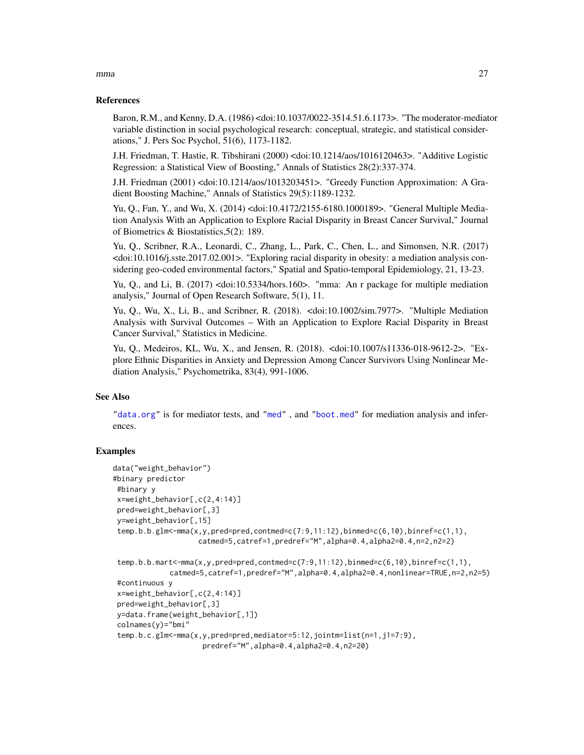#### References

Baron, R.M., and Kenny, D.A. (1986) <doi:10.1037/0022-3514.51.6.1173>. "The moderator-mediator variable distinction in social psychological research: conceptual, strategic, and statistical considerations," J. Pers Soc Psychol, 51(6), 1173-1182.

J.H. Friedman, T. Hastie, R. Tibshirani (2000) <doi:10.1214/aos/1016120463>. "Additive Logistic Regression: a Statistical View of Boosting," Annals of Statistics 28(2):337-374.

J.H. Friedman (2001) <doi:10.1214/aos/1013203451>. "Greedy Function Approximation: A Gradient Boosting Machine," Annals of Statistics 29(5):1189-1232.

Yu, Q., Fan, Y., and Wu, X. (2014) <doi:10.4172/2155-6180.1000189>. "General Multiple Mediation Analysis With an Application to Explore Racial Disparity in Breast Cancer Survival," Journal of Biometrics & Biostatistics,5(2): 189.

Yu, Q., Scribner, R.A., Leonardi, C., Zhang, L., Park, C., Chen, L., and Simonsen, N.R. (2017) <doi:10.1016/j.sste.2017.02.001>. "Exploring racial disparity in obesity: a mediation analysis considering geo-coded environmental factors," Spatial and Spatio-temporal Epidemiology, 21, 13-23.

Yu, Q., and Li, B. (2017) <doi:10.5334/hors.160>. "mma: An r package for multiple mediation analysis," Journal of Open Research Software, 5(1), 11.

Yu, Q., Wu, X., Li, B., and Scribner, R. (2018). <doi:10.1002/sim.7977>. "Multiple Mediation Analysis with Survival Outcomes – With an Application to Explore Racial Disparity in Breast Cancer Survival," Statistics in Medicine.

Yu, Q., Medeiros, KL, Wu, X., and Jensen, R. (2018). <doi:10.1007/s11336-018-9612-2>. "Explore Ethnic Disparities in Anxiety and Depression Among Cancer Survivors Using Nonlinear Mediation Analysis," Psychometrika, 83(4), 991-1006.

#### See Also

["data.org"](#page-11-1) is for mediator tests, and ["med"](#page-17-1) , and ["boot.med"](#page-3-1) for mediation analysis and inferences.

# Examples

```
data("weight_behavior")
#binary predictor
#binary y
x=weight_behavior[,c(2,4:14)]
pred=weight_behavior[,3]
y=weight_behavior[,15]
temp.b.b.glm <- mma(x,y,pred=pred,contmed=c(7:9,11:12),binmed=c(6,10),binref=c(1,1),
                    catmed=5,catref=1,predref="M",alpha=0.4,alpha2=0.4,n=2,n2=2)
temp.b.b.mart<-mma(x,y,pred=pred,contmed=c(7:9,11:12),binmed=c(6,10),binref=c(1,1),
             catmed=5,catref=1,predref="M",alpha=0.4,alpha2=0.4,nonlinear=TRUE,n=2,n2=5)
#continuous y
x=weight_behavior[,c(2,4:14)]
pred=weight_behavior[,3]
y=data.frame(weight_behavior[,1])
colnames(y)="bmi"
temp.b.c.glm<-mma(x,y,pred=pred,mediator=5:12,jointm=list(n=1,j1=7:9),
                     predref="M",alpha=0.4,alpha2=0.4,n2=20)
```
<span id="page-26-0"></span> $mma$  27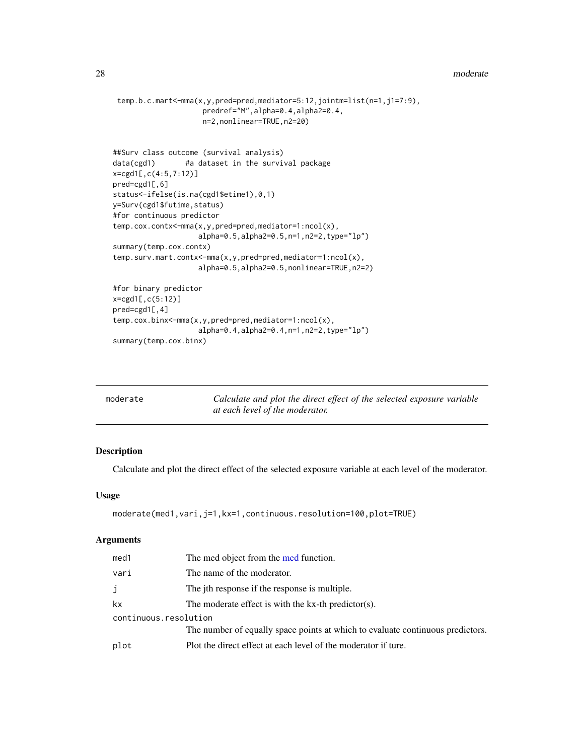```
temp.b.c.mart<-mma(x,y,pred=pred,mediator=5:12,jointm=list(n=1,j1=7:9),
                    predref="M",alpha=0.4,alpha2=0.4,
                    n=2,nonlinear=TRUE,n2=20)
##Surv class outcome (survival analysis)
data(cgd1) #a dataset in the survival package
x=cgd1[,c(4:5,7:12)]
pred=cgd1[,6]
status<-ifelse(is.na(cgd1$etime1),0,1)
y=Surv(cgd1$futime,status)
#for continuous predictor
temp.cox.contx<-mma(x,y,pred=pred,mediator=1:ncol(x),
                    alpha=0.5,alpha2=0.5,n=1,n2=2,type="lp")
summary(temp.cox.contx)
temp.surv.mart.contx<-mma(x,y,pred=pred,mediator=1:ncol(x),
                    alpha=0.5,alpha2=0.5,nonlinear=TRUE,n2=2)
#for binary predictor
x=cgd1[,c(5:12)]
pred=cgd1[,4]
temp.cox.binx<-mma(x,y,pred=pred,mediator=1:ncol(x),
                    alpha=0.4,alpha2=0.4,n=1,n2=2,type="lp")
summary(temp.cox.binx)
```
<span id="page-27-1"></span>

| moderate | Calculate and plot the direct effect of the selected exposure variable |
|----------|------------------------------------------------------------------------|
|          | at each level of the moderator.                                        |

# Description

Calculate and plot the direct effect of the selected exposure variable at each level of the moderator.

## Usage

```
moderate(med1,vari,j=1,kx=1,continuous.resolution=100,plot=TRUE)
```
# Arguments

| med1                  | The med object from the med function.                                          |
|-----------------------|--------------------------------------------------------------------------------|
| vari                  | The name of the moderator.                                                     |
| j                     | The jth response if the response is multiple.                                  |
| kx                    | The moderate effect is with the $kx$ -th predictor(s).                         |
| continuous.resolution |                                                                                |
|                       | The number of equally space points at which to evaluate continuous predictors. |
| plot                  | Plot the direct effect at each level of the moderator if ture.                 |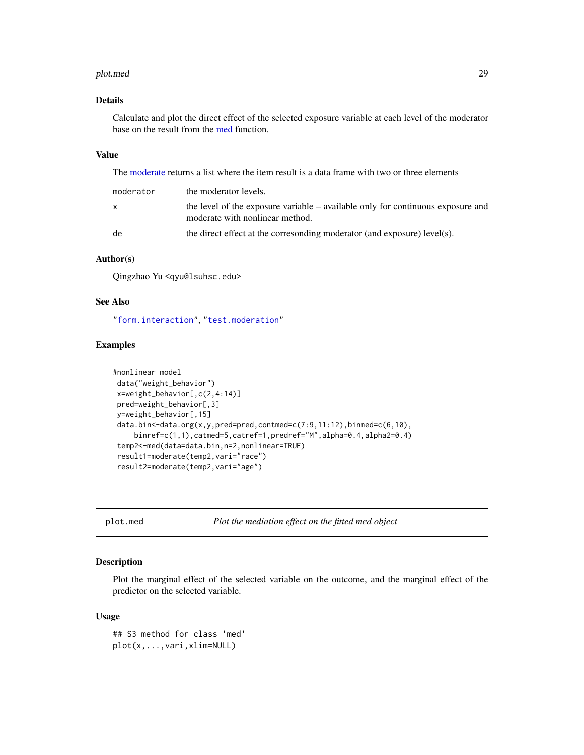#### <span id="page-28-0"></span>plot.med 29

# Details

Calculate and plot the direct effect of the selected exposure variable at each level of the moderator base on the result from the [med](#page-17-1) function.

# Value

The [moderate](#page-27-1) returns a list where the item result is a data frame with two or three elements

| moderator | the moderator levels.                                                                                                |
|-----------|----------------------------------------------------------------------------------------------------------------------|
| x         | the level of the exposure variable $-$ available only for continuous exposure and<br>moderate with nonlinear method. |
| de        | the direct effect at the corresonding moderator (and exposure) level(s).                                             |

# Author(s)

Qingzhao Yu <qyu@lsuhsc.edu>

# See Also

["form.interaction"](#page-16-1), ["test.moderation"](#page-39-1)

# Examples

```
#nonlinear model
data("weight_behavior")
x=weight_behavior[,c(2,4:14)]
pred=weight_behavior[,3]
y=weight_behavior[,15]
 data.bin<-data.org(x,y,pred=pred,contmed=c(7:9,11:12),binmed=c(6,10),
    binref=c(1,1),catmed=5,catref=1,predref="M",alpha=0.4,alpha2=0.4)
 temp2<-med(data=data.bin,n=2,nonlinear=TRUE)
result1=moderate(temp2,vari="race")
result2=moderate(temp2,vari="age")
```
plot.med *Plot the mediation effect on the fitted med object*

# Description

Plot the marginal effect of the selected variable on the outcome, and the marginal effect of the predictor on the selected variable.

#### Usage

```
## S3 method for class 'med'
plot(x,...,vari,xlim=NULL)
```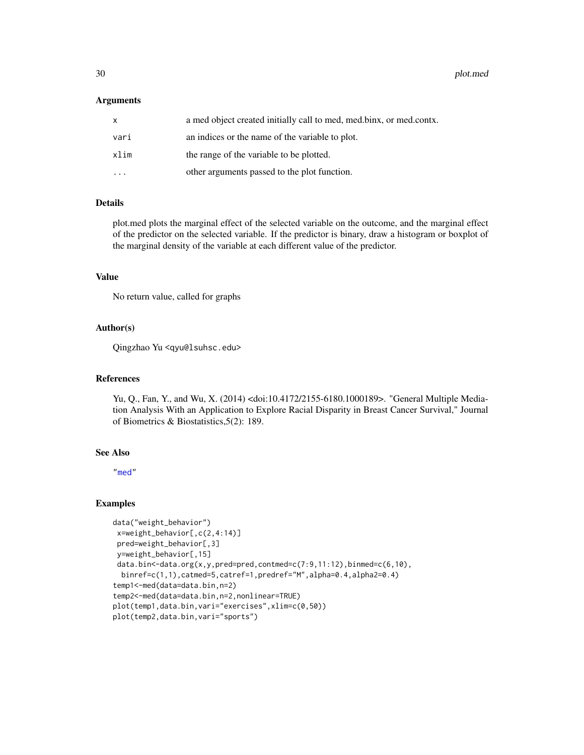# <span id="page-29-0"></span>**Arguments**

| X    | a med object created initially call to med, med.binx, or med.contx. |
|------|---------------------------------------------------------------------|
| vari | an indices or the name of the variable to plot.                     |
| xlim | the range of the variable to be plotted.                            |
|      | other arguments passed to the plot function.                        |

# Details

plot.med plots the marginal effect of the selected variable on the outcome, and the marginal effect of the predictor on the selected variable. If the predictor is binary, draw a histogram or boxplot of the marginal density of the variable at each different value of the predictor.

# Value

No return value, called for graphs

# Author(s)

Qingzhao Yu <qyu@lsuhsc.edu>

# References

Yu, Q., Fan, Y., and Wu, X. (2014) <doi:10.4172/2155-6180.1000189>. "General Multiple Mediation Analysis With an Application to Explore Racial Disparity in Breast Cancer Survival," Journal of Biometrics & Biostatistics,5(2): 189.

# See Also

["med"](#page-17-1)

# Examples

```
data("weight_behavior")
x=weight_behavior[,c(2,4:14)]
pred=weight_behavior[,3]
y=weight_behavior[,15]
data.bin<-data.org(x,y,pred=pred,contmed=c(7:9,11:12),binmed=c(6,10),
 binref=c(1,1),catmed=5,catref=1,predref="M",alpha=0.4,alpha2=0.4)
temp1<-med(data=data.bin,n=2)
temp2<-med(data=data.bin,n=2,nonlinear=TRUE)
plot(temp1,data.bin,vari="exercises",xlim=c(0,50))
plot(temp2,data.bin,vari="sports")
```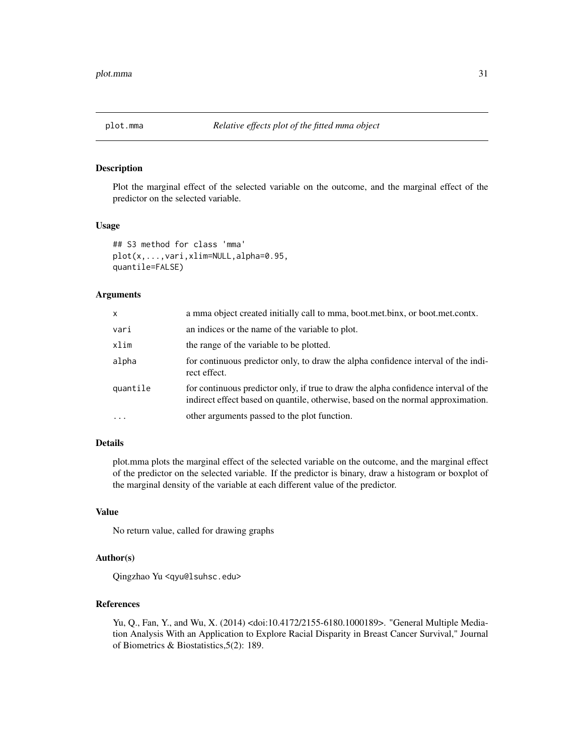# <span id="page-30-0"></span>Description

Plot the marginal effect of the selected variable on the outcome, and the marginal effect of the predictor on the selected variable.

#### Usage

```
## S3 method for class 'mma'
plot(x,...,vari,xlim=NULL,alpha=0.95,
quantile=FALSE)
```
# Arguments

| x        | a mma object created initially call to mma, boot.met.binx, or boot.met.contx.                                                                                           |
|----------|-------------------------------------------------------------------------------------------------------------------------------------------------------------------------|
| vari     | an indices or the name of the variable to plot.                                                                                                                         |
| xlim     | the range of the variable to be plotted.                                                                                                                                |
| alpha    | for continuous predictor only, to draw the alpha confidence interval of the indi-<br>rect effect.                                                                       |
| quantile | for continuous predictor only, if true to draw the alpha confidence interval of the<br>indirect effect based on quantile, otherwise, based on the normal approximation. |
| $\ddots$ | other arguments passed to the plot function.                                                                                                                            |

# Details

plot.mma plots the marginal effect of the selected variable on the outcome, and the marginal effect of the predictor on the selected variable. If the predictor is binary, draw a histogram or boxplot of the marginal density of the variable at each different value of the predictor.

#### Value

No return value, called for drawing graphs

# Author(s)

Qingzhao Yu <qyu@lsuhsc.edu>

#### References

Yu, Q., Fan, Y., and Wu, X. (2014) <doi:10.4172/2155-6180.1000189>. "General Multiple Mediation Analysis With an Application to Explore Racial Disparity in Breast Cancer Survival," Journal of Biometrics & Biostatistics,5(2): 189.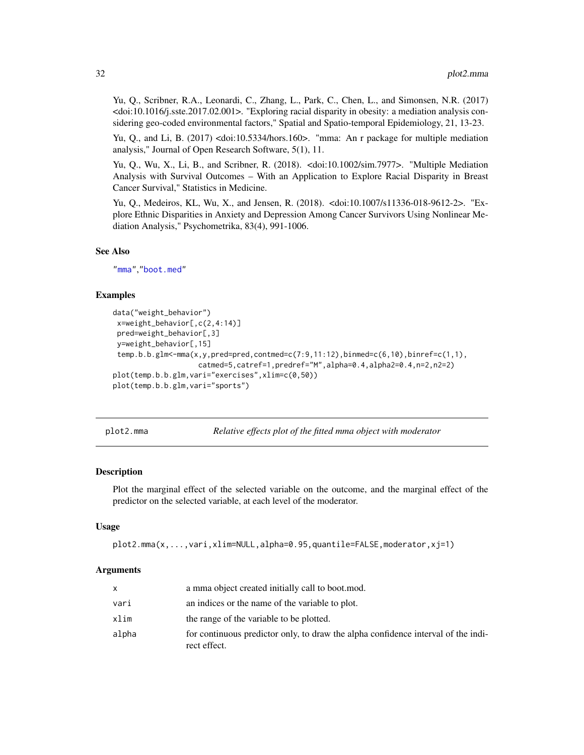<span id="page-31-0"></span>Yu, Q., Scribner, R.A., Leonardi, C., Zhang, L., Park, C., Chen, L., and Simonsen, N.R. (2017) <doi:10.1016/j.sste.2017.02.001>. "Exploring racial disparity in obesity: a mediation analysis considering geo-coded environmental factors," Spatial and Spatio-temporal Epidemiology, 21, 13-23.

Yu, Q., and Li, B. (2017) <doi:10.5334/hors.160>. "mma: An r package for multiple mediation analysis," Journal of Open Research Software, 5(1), 11.

Yu, Q., Wu, X., Li, B., and Scribner, R. (2018). <doi:10.1002/sim.7977>. "Multiple Mediation Analysis with Survival Outcomes – With an Application to Explore Racial Disparity in Breast Cancer Survival," Statistics in Medicine.

Yu, Q., Medeiros, KL, Wu, X., and Jensen, R. (2018). <doi:10.1007/s11336-018-9612-2>. "Explore Ethnic Disparities in Anxiety and Depression Among Cancer Survivors Using Nonlinear Mediation Analysis," Psychometrika, 83(4), 991-1006.

#### See Also

["mma"](#page-22-1),["boot.med"](#page-3-1)

# Examples

```
data("weight_behavior")
x=weight_behavior[,c(2,4:14)]
pred=weight_behavior[,3]
y=weight_behavior[,15]
 temp.b.b.glm <- mma(x,y,pred=pred,contmed=c(7:9,11:12),binmed=c(6,10),binref=c(1,1),
                    catmed=5,catref=1,predref="M",alpha=0.4,alpha2=0.4,n=2,n2=2)
plot(temp.b.b.glm,vari="exercises",xlim=c(0,50))
plot(temp.b.b.glm,vari="sports")
```
plot2.mma *Relative effects plot of the fitted mma object with moderator*

# **Description**

Plot the marginal effect of the selected variable on the outcome, and the marginal effect of the predictor on the selected variable, at each level of the moderator.

#### Usage

```
plot2.mma(x,...,vari,xlim=NULL,alpha=0.95,quantile=FALSE,moderator,xj=1)
```
#### Arguments

|       | a mma object created initially call to boot.mod.                                                  |
|-------|---------------------------------------------------------------------------------------------------|
| vari  | an indices or the name of the variable to plot.                                                   |
| xlim  | the range of the variable to be plotted.                                                          |
| alpha | for continuous predictor only, to draw the alpha confidence interval of the indi-<br>rect effect. |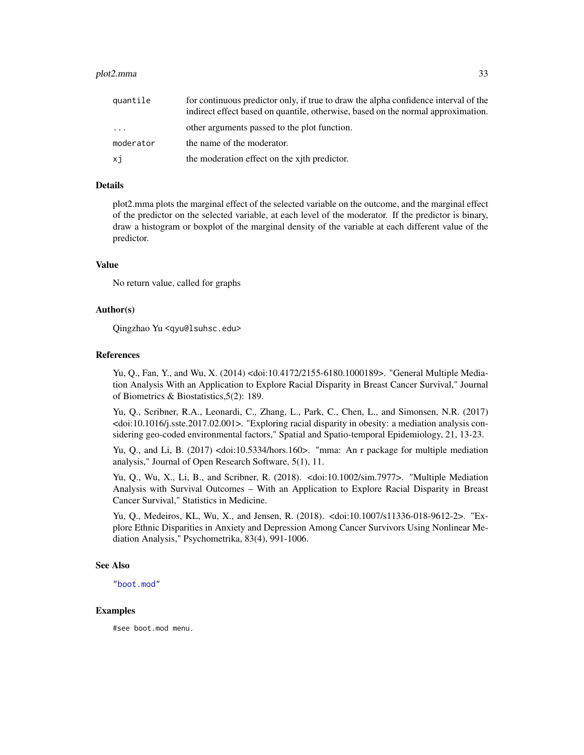#### <span id="page-32-0"></span>plot2.mma 33

| quantile  | for continuous predictor only, if true to draw the alpha confidence interval of the<br>indirect effect based on quantile, otherwise, based on the normal approximation. |
|-----------|-------------------------------------------------------------------------------------------------------------------------------------------------------------------------|
| $\cdot$   | other arguments passed to the plot function.                                                                                                                            |
| moderator | the name of the moderator.                                                                                                                                              |
| хj        | the moderation effect on the xith predictor.                                                                                                                            |

# Details

plot2.mma plots the marginal effect of the selected variable on the outcome, and the marginal effect of the predictor on the selected variable, at each level of the moderator. If the predictor is binary, draw a histogram or boxplot of the marginal density of the variable at each different value of the predictor.

## Value

No return value, called for graphs

# Author(s)

Qingzhao Yu <qyu@lsuhsc.edu>

#### References

Yu, Q., Fan, Y., and Wu, X. (2014) <doi:10.4172/2155-6180.1000189>. "General Multiple Mediation Analysis With an Application to Explore Racial Disparity in Breast Cancer Survival," Journal of Biometrics & Biostatistics,5(2): 189.

Yu, Q., Scribner, R.A., Leonardi, C., Zhang, L., Park, C., Chen, L., and Simonsen, N.R. (2017) <doi:10.1016/j.sste.2017.02.001>. "Exploring racial disparity in obesity: a mediation analysis considering geo-coded environmental factors," Spatial and Spatio-temporal Epidemiology, 21, 13-23.

Yu, Q., and Li, B. (2017) <doi:10.5334/hors.160>. "mma: An r package for multiple mediation analysis," Journal of Open Research Software, 5(1), 11.

Yu, Q., Wu, X., Li, B., and Scribner, R. (2018). <doi:10.1002/sim.7977>. "Multiple Mediation Analysis with Survival Outcomes – With an Application to Explore Racial Disparity in Breast Cancer Survival," Statistics in Medicine.

Yu, Q., Medeiros, KL, Wu, X., and Jensen, R. (2018). <doi:10.1007/s11336-018-9612-2>. "Explore Ethnic Disparities in Anxiety and Depression Among Cancer Survivors Using Nonlinear Mediation Analysis," Psychometrika, 83(4), 991-1006.

# See Also

["boot.mod"](#page-7-1)

#### Examples

#see boot.mod menu.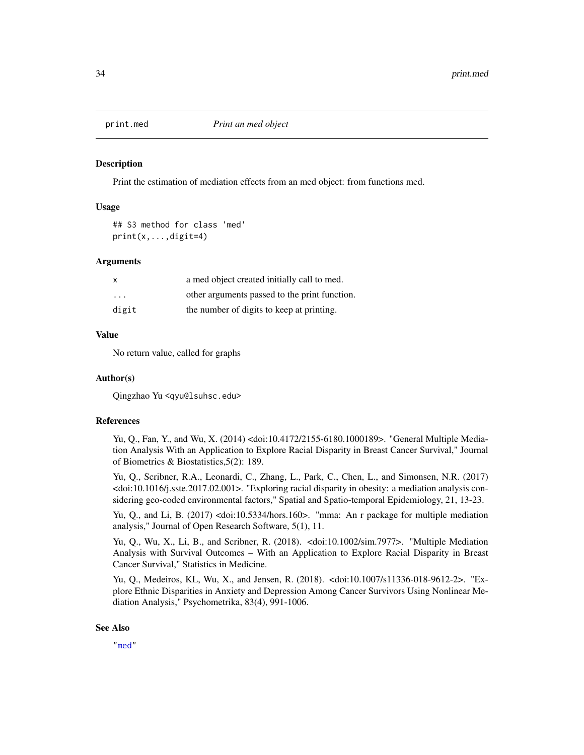<span id="page-33-0"></span>

#### Description

Print the estimation of mediation effects from an med object: from functions med.

# Usage

## S3 method for class 'med' print(x,...,digit=4)

#### Arguments

| $\mathsf{x}$ | a med object created initially call to med.   |
|--------------|-----------------------------------------------|
| .            | other arguments passed to the print function. |
| digit        | the number of digits to keep at printing.     |

# Value

No return value, called for graphs

#### Author(s)

Qingzhao Yu <qyu@lsuhsc.edu>

#### References

Yu, Q., Fan, Y., and Wu, X. (2014) <doi:10.4172/2155-6180.1000189>. "General Multiple Mediation Analysis With an Application to Explore Racial Disparity in Breast Cancer Survival," Journal of Biometrics & Biostatistics,5(2): 189.

Yu, Q., Scribner, R.A., Leonardi, C., Zhang, L., Park, C., Chen, L., and Simonsen, N.R. (2017) <doi:10.1016/j.sste.2017.02.001>. "Exploring racial disparity in obesity: a mediation analysis considering geo-coded environmental factors," Spatial and Spatio-temporal Epidemiology, 21, 13-23.

Yu, Q., and Li, B. (2017) <doi:10.5334/hors.160>. "mma: An r package for multiple mediation analysis," Journal of Open Research Software, 5(1), 11.

Yu, Q., Wu, X., Li, B., and Scribner, R. (2018). <doi:10.1002/sim.7977>. "Multiple Mediation Analysis with Survival Outcomes – With an Application to Explore Racial Disparity in Breast Cancer Survival," Statistics in Medicine.

Yu, Q., Medeiros, KL, Wu, X., and Jensen, R. (2018). <doi:10.1007/s11336-018-9612-2>. "Explore Ethnic Disparities in Anxiety and Depression Among Cancer Survivors Using Nonlinear Mediation Analysis," Psychometrika, 83(4), 991-1006.

# See Also

["med"](#page-17-1)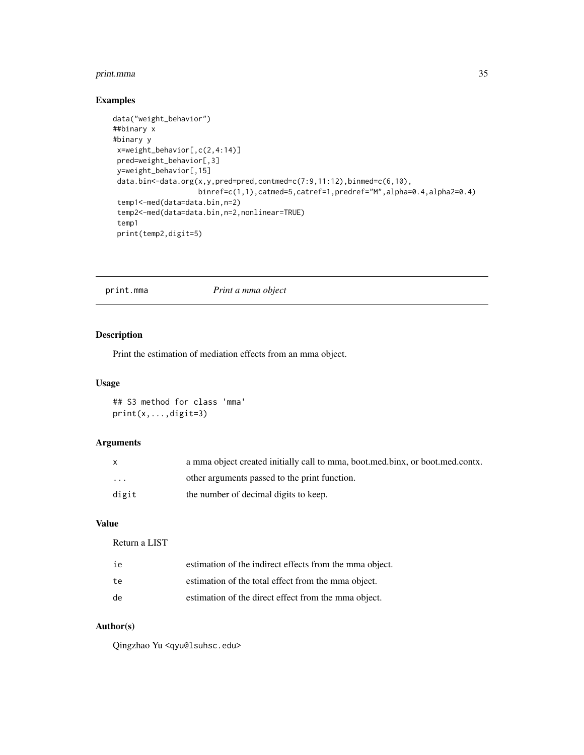# <span id="page-34-0"></span>print.mma 35

# Examples

```
data("weight_behavior")
##binary x
#binary y
 x=weight_behavior[,c(2,4:14)]
 pred=weight_behavior[,3]
 y=weight_behavior[,15]
 data.bin<-data.org(x,y,pred=pred,contmed=c(7:9,11:12),binmed=c(6,10),
                    binref=c(1,1),catmed=5,catref=1,predref="M",alpha=0.4,alpha2=0.4)
 temp1<-med(data=data.bin,n=2)
 temp2<-med(data=data.bin,n=2,nonlinear=TRUE)
 temp1
 print(temp2,digit=5)
```
# print.mma *Print a mma object*

# Description

Print the estimation of mediation effects from an mma object.

# Usage

## S3 method for class 'mma' print(x,...,digit=3)

# Arguments

| $\mathsf{x}$ | a mma object created initially call to mma, boot, med, binx, or boot, med, contx. |
|--------------|-----------------------------------------------------------------------------------|
| $\cdots$     | other arguments passed to the print function.                                     |
| digit        | the number of decimal digits to keep.                                             |

# Value

Return a LIST

| ie | estimation of the indirect effects from the mma object. |
|----|---------------------------------------------------------|
| te | estimation of the total effect from the mma object.     |
| de | estimation of the direct effect from the mma object.    |

# Author(s)

Qingzhao Yu <qyu@lsuhsc.edu>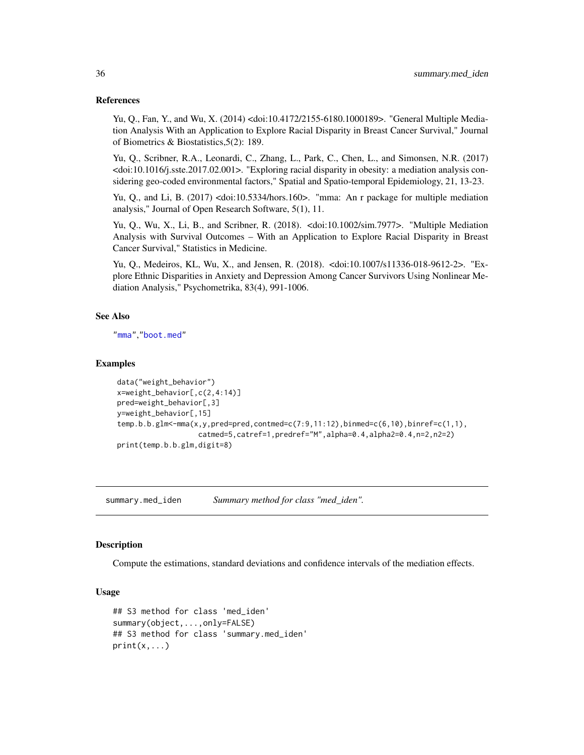#### <span id="page-35-0"></span>References

Yu, Q., Fan, Y., and Wu, X. (2014) <doi:10.4172/2155-6180.1000189>. "General Multiple Mediation Analysis With an Application to Explore Racial Disparity in Breast Cancer Survival," Journal of Biometrics & Biostatistics,5(2): 189.

Yu, Q., Scribner, R.A., Leonardi, C., Zhang, L., Park, C., Chen, L., and Simonsen, N.R. (2017) <doi:10.1016/j.sste.2017.02.001>. "Exploring racial disparity in obesity: a mediation analysis considering geo-coded environmental factors," Spatial and Spatio-temporal Epidemiology, 21, 13-23.

Yu, Q., and Li, B. (2017) <doi:10.5334/hors.160>. "mma: An r package for multiple mediation analysis," Journal of Open Research Software, 5(1), 11.

Yu, Q., Wu, X., Li, B., and Scribner, R. (2018). <doi:10.1002/sim.7977>. "Multiple Mediation Analysis with Survival Outcomes – With an Application to Explore Racial Disparity in Breast Cancer Survival," Statistics in Medicine.

Yu, Q., Medeiros, KL, Wu, X., and Jensen, R. (2018). <doi:10.1007/s11336-018-9612-2>. "Explore Ethnic Disparities in Anxiety and Depression Among Cancer Survivors Using Nonlinear Mediation Analysis," Psychometrika, 83(4), 991-1006.

# See Also

["mma"](#page-22-1),["boot.med"](#page-3-1)

#### Examples

```
data("weight_behavior")
x=weight_behavior[,c(2,4:14)]
pred=weight_behavior[,3]
y=weight_behavior[,15]
temp.b.b.glm<-mma(x,y,pred=pred,contmed=c(7:9,11:12),binmed=c(6,10),binref=c(1,1),
                   catmed=5,catref=1,predref="M",alpha=0.4,alpha2=0.4,n=2,n2=2)
print(temp.b.b.glm,digit=8)
```
summary.med\_iden *Summary method for class "med\_iden".*

# Description

Compute the estimations, standard deviations and confidence intervals of the mediation effects.

# Usage

```
## S3 method for class 'med_iden'
summary(object,...,only=FALSE)
## S3 method for class 'summary.med_iden'
print(x, \ldots)
```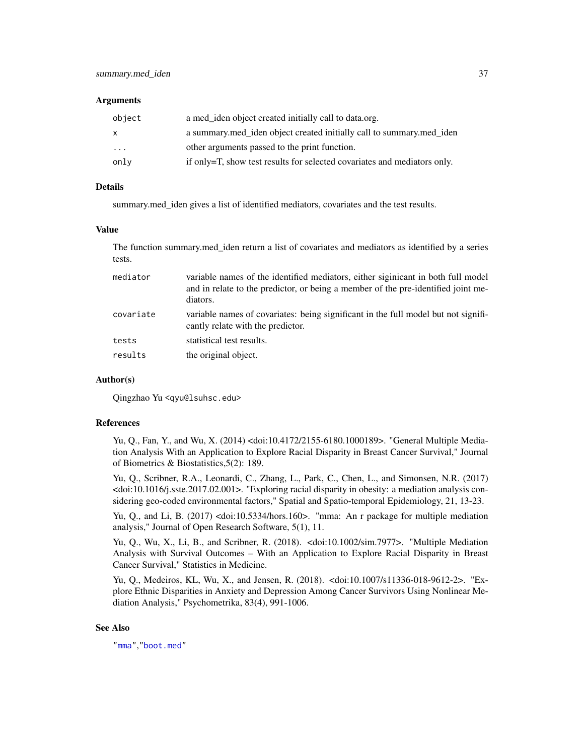#### <span id="page-36-0"></span>**Arguments**

| object | a med iden object created initially call to data.org.                    |
|--------|--------------------------------------------------------------------------|
| X      | a summary med_iden object created initially call to summary med_iden     |
| .      | other arguments passed to the print function.                            |
| only   | if only=T, show test results for selected covariates and mediators only. |

# Details

summary.med\_iden gives a list of identified mediators, covariates and the test results.

#### Value

The function summary.med\_iden return a list of covariates and mediators as identified by a series tests.

| mediator  | variable names of the identified mediators, either siginicant in both full model<br>and in relate to the predictor, or being a member of the pre-identified joint me-<br>diators. |
|-----------|-----------------------------------------------------------------------------------------------------------------------------------------------------------------------------------|
| covariate | variable names of covariates: being significant in the full model but not signifi-<br>cantly relate with the predictor.                                                           |
| tests     | statistical test results.                                                                                                                                                         |
| results   | the original object.                                                                                                                                                              |
|           |                                                                                                                                                                                   |

# Author(s)

Qingzhao Yu <qyu@lsuhsc.edu>

# References

Yu, Q., Fan, Y., and Wu, X. (2014) <doi:10.4172/2155-6180.1000189>. "General Multiple Mediation Analysis With an Application to Explore Racial Disparity in Breast Cancer Survival," Journal of Biometrics & Biostatistics,5(2): 189.

Yu, Q., Scribner, R.A., Leonardi, C., Zhang, L., Park, C., Chen, L., and Simonsen, N.R. (2017) <doi:10.1016/j.sste.2017.02.001>. "Exploring racial disparity in obesity: a mediation analysis considering geo-coded environmental factors," Spatial and Spatio-temporal Epidemiology, 21, 13-23.

Yu, Q., and Li, B. (2017) <doi:10.5334/hors.160>. "mma: An r package for multiple mediation analysis," Journal of Open Research Software, 5(1), 11.

Yu, Q., Wu, X., Li, B., and Scribner, R. (2018). <doi:10.1002/sim.7977>. "Multiple Mediation Analysis with Survival Outcomes – With an Application to Explore Racial Disparity in Breast Cancer Survival," Statistics in Medicine.

Yu, Q., Medeiros, KL, Wu, X., and Jensen, R. (2018). <doi:10.1007/s11336-018-9612-2>. "Explore Ethnic Disparities in Anxiety and Depression Among Cancer Survivors Using Nonlinear Mediation Analysis," Psychometrika, 83(4), 991-1006.

# See Also

["mma"](#page-22-1),["boot.med"](#page-3-1)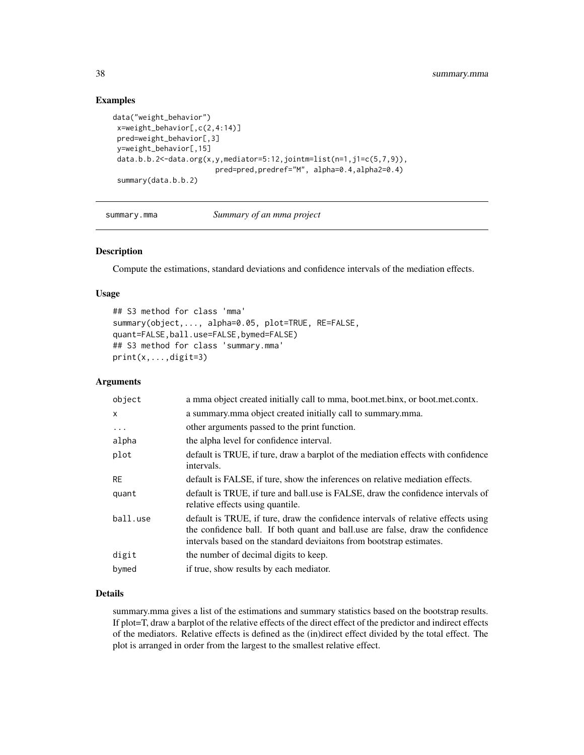# Examples

```
data("weight_behavior")
x=weight_behavior[,c(2,4:14)]
pred=weight_behavior[,3]
y=weight_behavior[,15]
data.b.b.2<-data.org(x,y,mediator=5:12,jointm=list(n=1,j1=c(5,7,9)),
                        pred=pred,predref="M", alpha=0.4,alpha2=0.4)
 summary(data.b.b.2)
```
summary.mma *Summary of an mma project*

# Description

Compute the estimations, standard deviations and confidence intervals of the mediation effects.

#### Usage

```
## S3 method for class 'mma'
summary(object,..., alpha=0.05, plot=TRUE, RE=FALSE,
quant=FALSE,ball.use=FALSE,bymed=FALSE)
## S3 method for class 'summary.mma'
print(x,...,digit=3)
```
# Arguments

| object       | a mma object created initially call to mma, boot.met.binx, or boot.met.contx.                                                                                                                                                               |
|--------------|---------------------------------------------------------------------------------------------------------------------------------------------------------------------------------------------------------------------------------------------|
| $\mathsf{x}$ | a summary mma object created initially call to summary mma.                                                                                                                                                                                 |
| $\cdots$     | other arguments passed to the print function.                                                                                                                                                                                               |
| alpha        | the alpha level for confidence interval.                                                                                                                                                                                                    |
| plot         | default is TRUE, if ture, draw a barplot of the mediation effects with confidence<br>intervals.                                                                                                                                             |
| <b>RE</b>    | default is FALSE, if ture, show the inferences on relative mediation effects.                                                                                                                                                               |
| quant        | default is TRUE, if ture and ball use is FALSE, draw the confidence intervals of<br>relative effects using quantile.                                                                                                                        |
| ball.use     | default is TRUE, if ture, draw the confidence intervals of relative effects using<br>the confidence ball. If both quant and ball use are false, draw the confidence<br>intervals based on the standard deviaitons from bootstrap estimates. |
| digit        | the number of decimal digits to keep.                                                                                                                                                                                                       |
| bymed        | if true, show results by each mediator.                                                                                                                                                                                                     |
|              |                                                                                                                                                                                                                                             |

# Details

summary.mma gives a list of the estimations and summary statistics based on the bootstrap results. If plot=T, draw a barplot of the relative effects of the direct effect of the predictor and indirect effects of the mediators. Relative effects is defined as the (in)direct effect divided by the total effect. The plot is arranged in order from the largest to the smallest relative effect.

<span id="page-37-0"></span>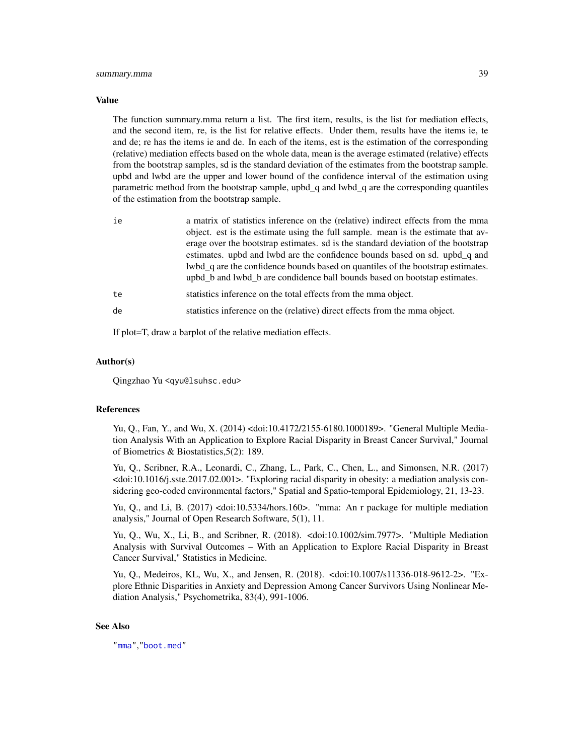#### <span id="page-38-0"></span>Value

The function summary.mma return a list. The first item, results, is the list for mediation effects, and the second item, re, is the list for relative effects. Under them, results have the items ie, te and de; re has the items ie and de. In each of the items, est is the estimation of the corresponding (relative) mediation effects based on the whole data, mean is the average estimated (relative) effects from the bootstrap samples, sd is the standard deviation of the estimates from the bootstrap sample. upbd and lwbd are the upper and lower bound of the confidence interval of the estimation using parametric method from the bootstrap sample, upbd\_q and lwbd\_q are the corresponding quantiles of the estimation from the bootstrap sample.

| ie | a matrix of statistics inference on the (relative) indirect effects from the mma<br>object. est is the estimate using the full sample. mean is the estimate that av-<br>erage over the bootstrap estimates. so is the standard deviation of the bootstrap |
|----|-----------------------------------------------------------------------------------------------------------------------------------------------------------------------------------------------------------------------------------------------------------|
|    | estimates. upbd and lwbd are the confidence bounds based on sd. upbd <sub>q</sub> and<br>lwbd_q are the confidence bounds based on quantiles of the bootstrap estimates.<br>upbd b and lwbd b are condidence ball bounds based on bootstap estimates.     |
| te | statistics inference on the total effects from the mma object.                                                                                                                                                                                            |
| de | statistics inference on the (relative) direct effects from the mma object.                                                                                                                                                                                |

If plot=T, draw a barplot of the relative mediation effects.

#### Author(s)

Qingzhao Yu <qyu@lsuhsc.edu>

#### References

Yu, Q., Fan, Y., and Wu, X. (2014) <doi:10.4172/2155-6180.1000189>. "General Multiple Mediation Analysis With an Application to Explore Racial Disparity in Breast Cancer Survival," Journal of Biometrics & Biostatistics,5(2): 189.

Yu, Q., Scribner, R.A., Leonardi, C., Zhang, L., Park, C., Chen, L., and Simonsen, N.R. (2017) <doi:10.1016/j.sste.2017.02.001>. "Exploring racial disparity in obesity: a mediation analysis considering geo-coded environmental factors," Spatial and Spatio-temporal Epidemiology, 21, 13-23.

Yu, Q., and Li, B. (2017) <doi:10.5334/hors.160>. "mma: An r package for multiple mediation analysis," Journal of Open Research Software, 5(1), 11.

Yu, Q., Wu, X., Li, B., and Scribner, R. (2018). <doi:10.1002/sim.7977>. "Multiple Mediation Analysis with Survival Outcomes – With an Application to Explore Racial Disparity in Breast Cancer Survival," Statistics in Medicine.

Yu, Q., Medeiros, KL, Wu, X., and Jensen, R. (2018). <doi:10.1007/s11336-018-9612-2>. "Explore Ethnic Disparities in Anxiety and Depression Among Cancer Survivors Using Nonlinear Mediation Analysis," Psychometrika, 83(4), 991-1006.

#### See Also

["mma"](#page-22-1),["boot.med"](#page-3-1)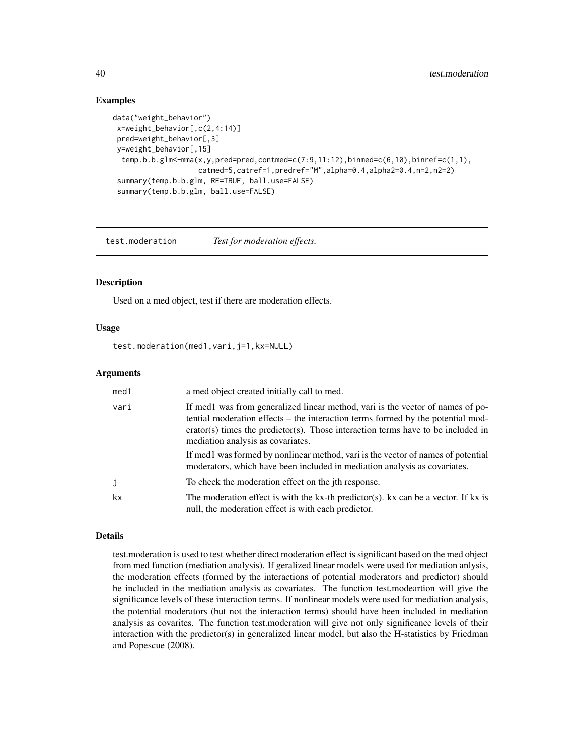# Examples

```
data("weight_behavior")
x=weight_behavior[,c(2,4:14)]
pred=weight_behavior[,3]
y=weight_behavior[,15]
 temp.b.b.glm<-mma(x,y,pred=pred,contmed=c(7:9,11:12),binmed=c(6,10),binref=c(1,1),
                    catmed=5,catref=1,predref="M",alpha=0.4,alpha2=0.4,n=2,n2=2)
 summary(temp.b.b.glm, RE=TRUE, ball.use=FALSE)
 summary(temp.b.b.glm, ball.use=FALSE)
```
<span id="page-39-1"></span>test.moderation *Test for moderation effects.*

# Description

Used on a med object, test if there are moderation effects.

# Usage

test.moderation(med1,vari,j=1,kx=NULL)

# Arguments

| med <sub>1</sub> | a med object created initially call to med.                                                                                                                                                                                                                                                |
|------------------|--------------------------------------------------------------------------------------------------------------------------------------------------------------------------------------------------------------------------------------------------------------------------------------------|
| vari             | If med1 was from generalized linear method, vari is the vector of names of po-<br>tential moderation effects – the interaction terms formed by the potential mod-<br>erator(s) times the predictor(s). Those interaction terms have to be included in<br>mediation analysis as covariates. |
|                  | If med1 was formed by nonlinear method, vari is the vector of names of potential<br>moderators, which have been included in mediation analysis as covariates.                                                                                                                              |
| j                | To check the moderation effect on the jth response.                                                                                                                                                                                                                                        |
| kx               | The moderation effect is with the kx-th predictor(s). kx can be a vector. If kx is<br>null, the moderation effect is with each predictor.                                                                                                                                                  |

#### Details

test.moderation is used to test whether direct moderation effect is significant based on the med object from med function (mediation analysis). If geralized linear models were used for mediation anlysis, the moderation effects (formed by the interactions of potential moderators and predictor) should be included in the mediation analysis as covariates. The function test.modeartion will give the significance levels of these interaction terms. If nonlinear models were used for mediation analysis, the potential moderators (but not the interaction terms) should have been included in mediation analysis as covarites. The function test.moderation will give not only significance levels of their interaction with the predictor(s) in generalized linear model, but also the H-statistics by Friedman and Popescue (2008).

<span id="page-39-0"></span>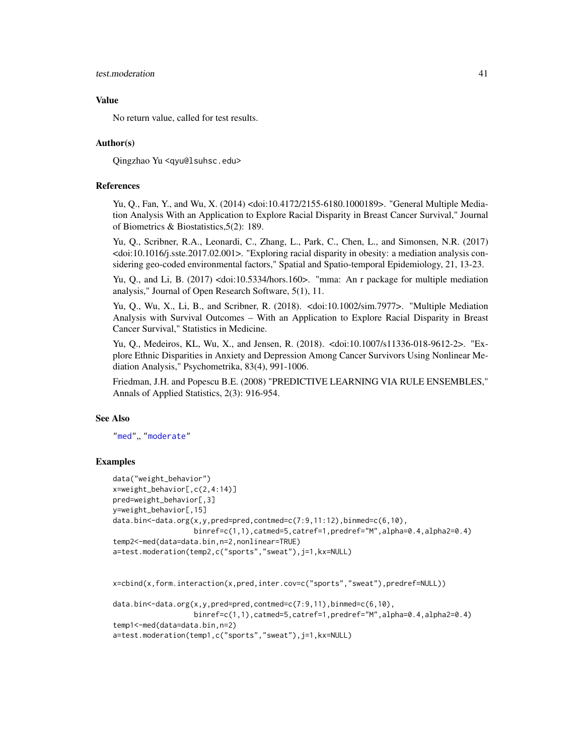#### <span id="page-40-0"></span>test.moderation 41

#### Value

No return value, called for test results.

# Author(s)

Qingzhao Yu <qyu@lsuhsc.edu>

# References

Yu, Q., Fan, Y., and Wu, X. (2014) <doi:10.4172/2155-6180.1000189>. "General Multiple Mediation Analysis With an Application to Explore Racial Disparity in Breast Cancer Survival," Journal of Biometrics & Biostatistics,5(2): 189.

Yu, Q., Scribner, R.A., Leonardi, C., Zhang, L., Park, C., Chen, L., and Simonsen, N.R. (2017) <doi:10.1016/j.sste.2017.02.001>. "Exploring racial disparity in obesity: a mediation analysis considering geo-coded environmental factors," Spatial and Spatio-temporal Epidemiology, 21, 13-23.

Yu, Q., and Li, B. (2017) <doi:10.5334/hors.160>. "mma: An r package for multiple mediation analysis," Journal of Open Research Software, 5(1), 11.

Yu, Q., Wu, X., Li, B., and Scribner, R. (2018). <doi:10.1002/sim.7977>. "Multiple Mediation Analysis with Survival Outcomes – With an Application to Explore Racial Disparity in Breast Cancer Survival," Statistics in Medicine.

Yu, Q., Medeiros, KL, Wu, X., and Jensen, R. (2018). <doi:10.1007/s11336-018-9612-2>. "Explore Ethnic Disparities in Anxiety and Depression Among Cancer Survivors Using Nonlinear Mediation Analysis," Psychometrika, 83(4), 991-1006.

Friedman, J.H. and Popescu B.E. (2008) "PREDICTIVE LEARNING VIA RULE ENSEMBLES," Annals of Applied Statistics, 2(3): 916-954.

# See Also

["med"](#page-17-1),, ["moderate"](#page-27-1)

# Examples

```
data("weight_behavior")
x=weight_behavior[,c(2,4:14)]
pred=weight_behavior[,3]
y=weight_behavior[,15]
data.bin<-data.org(x,y,pred=pred,contmed=c(7:9,11:12),binmed=c(6,10),
                   binref=c(1,1),catmed=5,catref=1,predref="M",alpha=0.4,alpha2=0.4)
temp2<-med(data=data.bin,n=2,nonlinear=TRUE)
a=test.moderation(temp2,c("sports","sweat"),j=1,kx=NULL)
```

```
x=cbind(x,form.interaction(x,pred,inter.cov=c("sports","sweat"),predref=NULL))
```

```
data.bin<-data.org(x,y,pred=pred,contmed=c(7:9,11),binmed=c(6,10),
                  binref=c(1,1),catmed=5,catref=1,predref="M",alpha=0.4,alpha2=0.4)
temp1<-med(data=data.bin,n=2)
a=test.moderation(temp1,c("sports","sweat"),j=1,kx=NULL)
```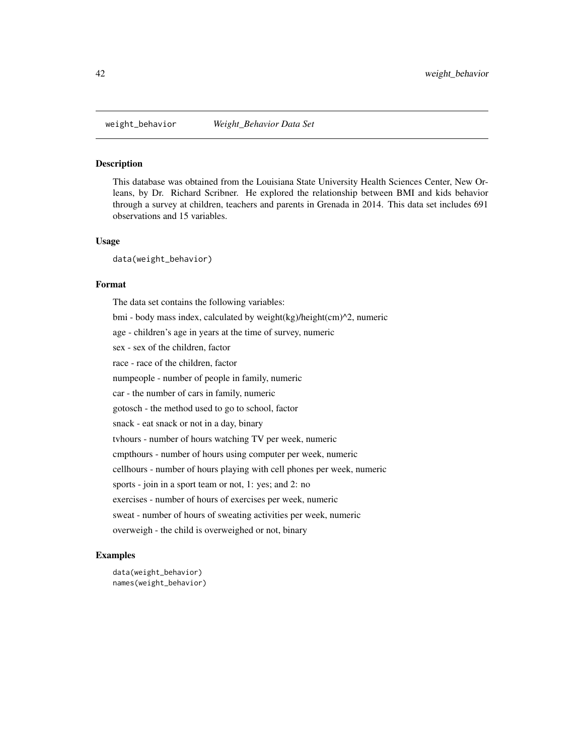<span id="page-41-0"></span>

#### Description

This database was obtained from the Louisiana State University Health Sciences Center, New Orleans, by Dr. Richard Scribner. He explored the relationship between BMI and kids behavior through a survey at children, teachers and parents in Grenada in 2014. This data set includes 691 observations and 15 variables.

## Usage

data(weight\_behavior)

#### Format

The data set contains the following variables: bmi - body mass index, calculated by weight(kg)/height(cm)^2, numeric age - children's age in years at the time of survey, numeric sex - sex of the children, factor race - race of the children, factor numpeople - number of people in family, numeric car - the number of cars in family, numeric gotosch - the method used to go to school, factor snack - eat snack or not in a day, binary tvhours - number of hours watching TV per week, numeric cmpthours - number of hours using computer per week, numeric cellhours - number of hours playing with cell phones per week, numeric sports - join in a sport team or not, 1: yes; and 2: no exercises - number of hours of exercises per week, numeric sweat - number of hours of sweating activities per week, numeric overweigh - the child is overweighed or not, binary

# Examples

data(weight\_behavior) names(weight\_behavior)